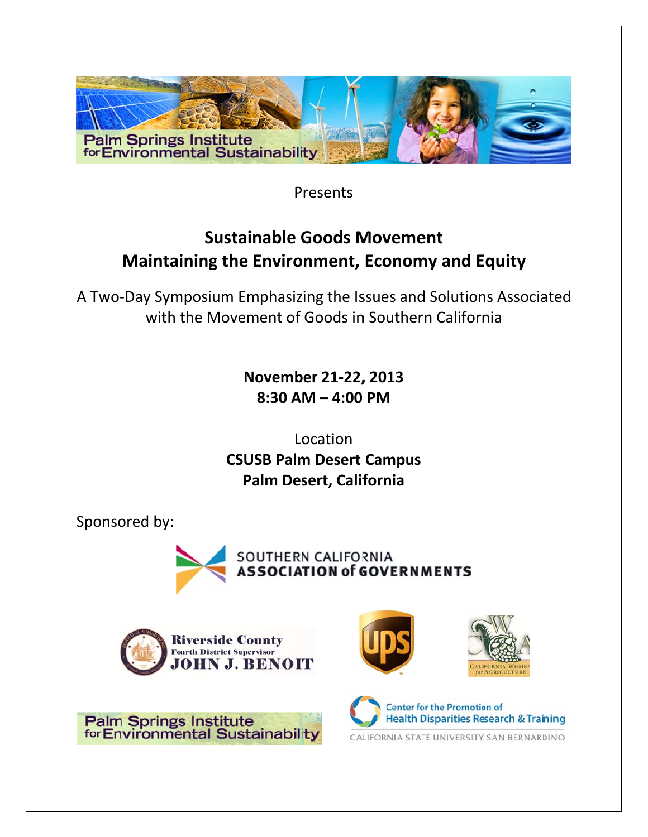

Presents

# **Sustainable Goods Movement** Maintaining the Environment, Economy and Equity

A Two-Day Symposium Emphasizing the Issues and Solutions Associated with the Movement of Goods in Southern California

> November 21-22, 2013  $8:30$  AM  $-$  4:00 PM

Location **CSUSB Palm Desert Campus** Palm Desert, California

Sponsored by:









**Center for the Promotion of Health Disparities Research & Training** CALIFORNIA STATE UNIVERSITY, SAN BERNARDINO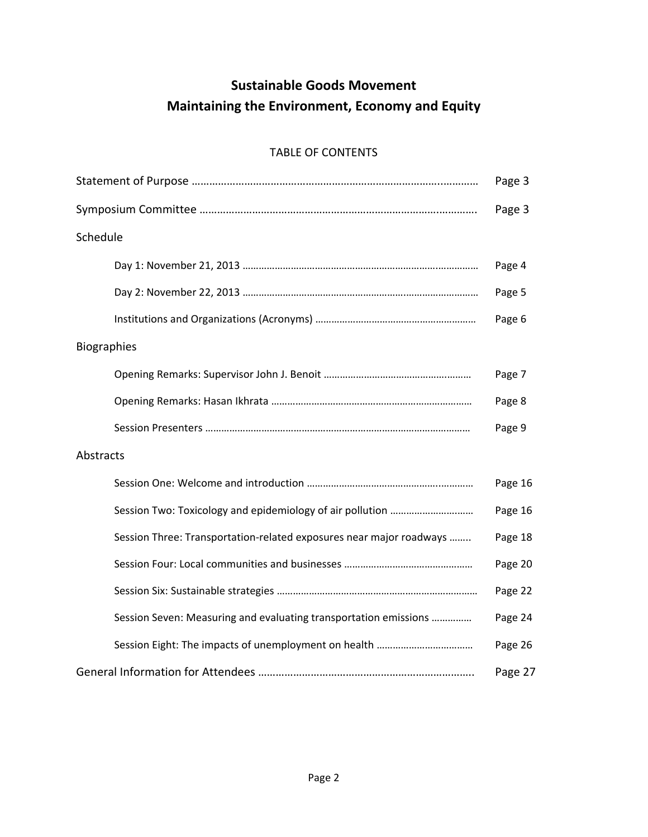# **Sustainable Goods Movement Maintaining the Environment, Economy and Equity**

## TABLE OF CONTENTS

|                                                                     | Page 3  |
|---------------------------------------------------------------------|---------|
|                                                                     | Page 3  |
| Schedule                                                            |         |
|                                                                     | Page 4  |
|                                                                     | Page 5  |
|                                                                     | Page 6  |
| Biographies                                                         |         |
|                                                                     | Page 7  |
|                                                                     | Page 8  |
|                                                                     | Page 9  |
| Abstracts                                                           |         |
|                                                                     | Page 16 |
|                                                                     | Page 16 |
| Session Three: Transportation-related exposures near major roadways | Page 18 |
|                                                                     | Page 20 |
|                                                                     | Page 22 |
| Session Seven: Measuring and evaluating transportation emissions    | Page 24 |
|                                                                     | Page 26 |
|                                                                     | Page 27 |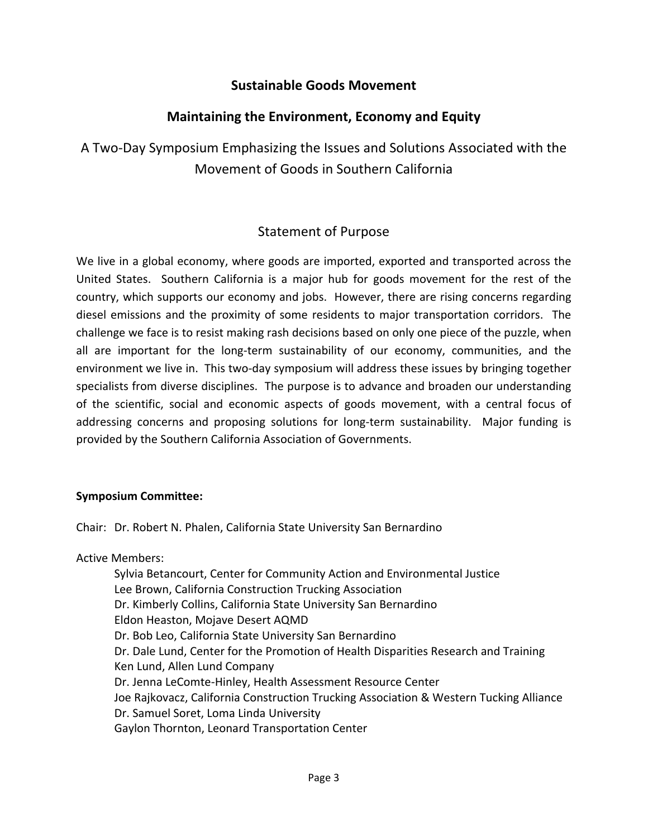## **Sustainable Goods Movement**

## **Maintaining the Environment, Economy and Equity**

A Two‐Day Symposium Emphasizing the Issues and Solutions Associated with the Movement of Goods in Southern California

## Statement of Purpose

We live in a global economy, where goods are imported, exported and transported across the United States. Southern California is a major hub for goods movement for the rest of the country, which supports our economy and jobs. However, there are rising concerns regarding diesel emissions and the proximity of some residents to major transportation corridors. The challenge we face is to resist making rash decisions based on only one piece of the puzzle, when all are important for the long‐term sustainability of our economy, communities, and the environment we live in. This two‐day symposium will address these issues by bringing together specialists from diverse disciplines. The purpose is to advance and broaden our understanding of the scientific, social and economic aspects of goods movement, with a central focus of addressing concerns and proposing solutions for long-term sustainability. Major funding is provided by the Southern California Association of Governments.

### **Symposium Committee:**

Chair: Dr. Robert N. Phalen, California State University San Bernardino

Active Members:

Sylvia Betancourt, Center for Community Action and Environmental Justice Lee Brown, California Construction Trucking Association Dr. Kimberly Collins, California State University San Bernardino Eldon Heaston, Mojave Desert AQMD Dr. Bob Leo, California State University San Bernardino Dr. Dale Lund, Center for the Promotion of Health Disparities Research and Training Ken Lund, Allen Lund Company Dr. Jenna LeComte‐Hinley, Health Assessment Resource Center Joe Rajkovacz, California Construction Trucking Association & Western Tucking Alliance Dr. Samuel Soret, Loma Linda University Gaylon Thornton, Leonard Transportation Center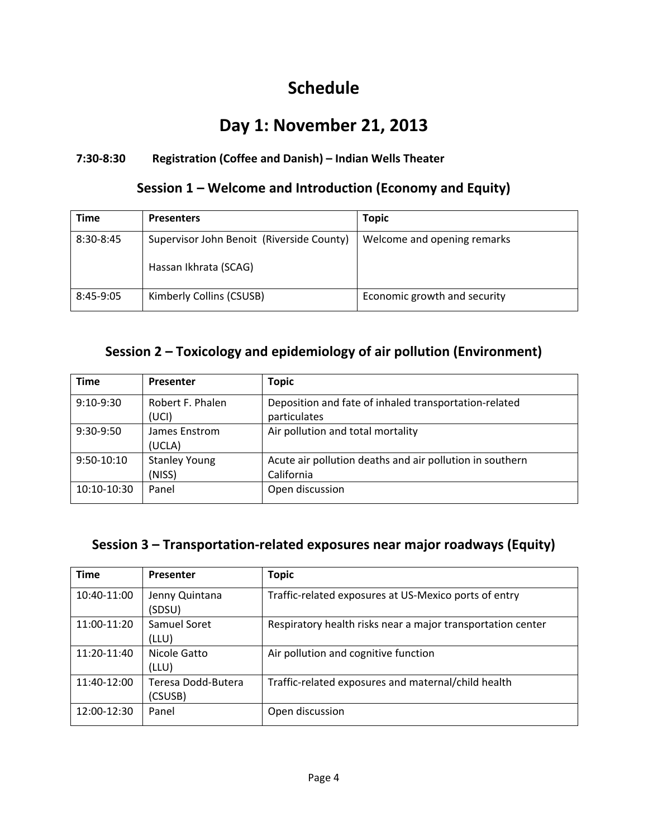# **Schedule**

# **Day 1: November 21, 2013**

## **7:30‐8:30 Registration (Coffee and Danish) – Indian Wells Theater**

## **Session 1 – Welcome and Introduction (Economy and Equity)**

| <b>Time</b> | <b>Presenters</b>                                                  | <b>Topic</b>                 |
|-------------|--------------------------------------------------------------------|------------------------------|
| 8:30-8:45   | Supervisor John Benoit (Riverside County)<br>Hassan Ikhrata (SCAG) | Welcome and opening remarks  |
|             |                                                                    |                              |
| 8:45-9:05   | Kimberly Collins (CSUSB)                                           | Economic growth and security |

## **Session 2 – Toxicology and epidemiology of air pollution (Environment)**

| <b>Time</b>  | Presenter            | <b>Topic</b>                                             |
|--------------|----------------------|----------------------------------------------------------|
| $9:10-9:30$  | Robert F. Phalen     | Deposition and fate of inhaled transportation-related    |
|              | (UCI)                | particulates                                             |
| 9:30-9:50    | James Enstrom        | Air pollution and total mortality                        |
|              | (UCLA)               |                                                          |
| $9:50-10:10$ | <b>Stanley Young</b> | Acute air pollution deaths and air pollution in southern |
|              | (NISS)               | California                                               |
| 10:10-10:30  | Panel                | Open discussion                                          |
|              |                      |                                                          |

## **Session 3 – Transportation‐related exposures near major roadways (Equity)**

| <b>Time</b> | Presenter                     | <b>Topic</b>                                                |
|-------------|-------------------------------|-------------------------------------------------------------|
| 10:40-11:00 | Jenny Quintana<br>(SDSU)      | Traffic-related exposures at US-Mexico ports of entry       |
| 11:00-11:20 | Samuel Soret<br>(LLU)         | Respiratory health risks near a major transportation center |
| 11:20-11:40 | Nicole Gatto<br>(LLU)         | Air pollution and cognitive function                        |
| 11:40-12:00 | Teresa Dodd-Butera<br>(CSUSB) | Traffic-related exposures and maternal/child health         |
| 12:00-12:30 | Panel                         | Open discussion                                             |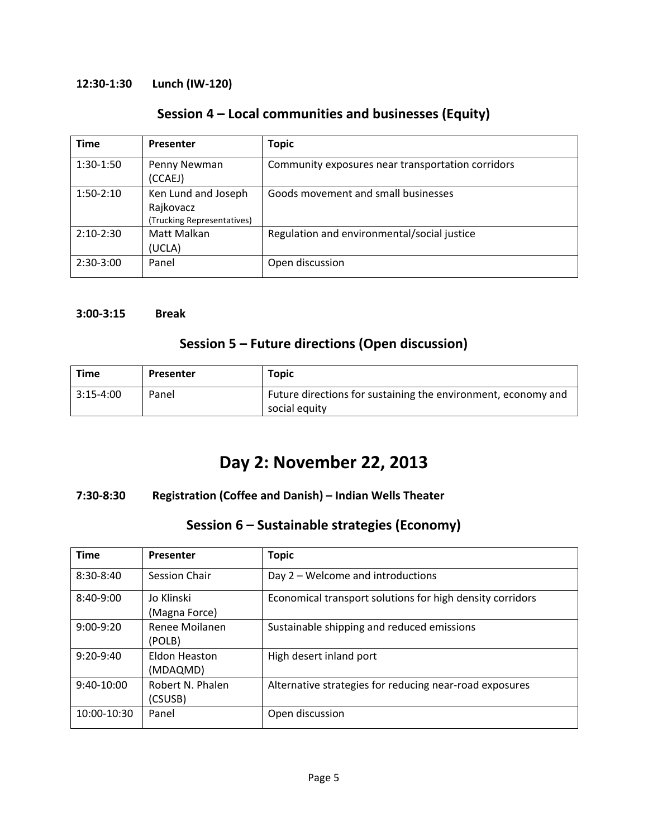## **12:30‐1:30 Lunch (IW‐120)**

## **Session 4 – Local communities and businesses (Equity)**

| <b>Time</b> | Presenter                                                      | <b>Topic</b>                                      |
|-------------|----------------------------------------------------------------|---------------------------------------------------|
| $1:30-1:50$ | Penny Newman<br>(CCAEJ)                                        | Community exposures near transportation corridors |
| $1:50-2:10$ | Ken Lund and Joseph<br>Rajkovacz<br>(Trucking Representatives) | Goods movement and small businesses               |
| $2:10-2:30$ | Matt Malkan<br>(UCLA)                                          | Regulation and environmental/social justice       |
| $2:30-3:00$ | Panel                                                          | Open discussion                                   |

### **3:00‐3:15 Break**

## **Session 5 – Future directions (Open discussion)**

| <b>Time</b> | Presenter | <b>Topic</b>                                                                   |
|-------------|-----------|--------------------------------------------------------------------------------|
| $3:15-4:00$ | Panel     | Future directions for sustaining the environment, economy and<br>social equity |

# **Day 2: November 22, 2013**

## **7:30‐8:30 Registration (Coffee and Danish) – Indian Wells Theater**

## **Session 6 – Sustainable strategies (Economy)**

| <b>Time</b>  | Presenter                   | <b>Topic</b>                                              |
|--------------|-----------------------------|-----------------------------------------------------------|
| $8:30-8:40$  | <b>Session Chair</b>        | Day 2 – Welcome and introductions                         |
| $8:40-9:00$  | Jo Klinski<br>(Magna Force) | Economical transport solutions for high density corridors |
| $9:00-9:20$  | Renee Moilanen<br>(POLB)    | Sustainable shipping and reduced emissions                |
| $9:20-9:40$  | Eldon Heaston<br>(MDAQMD)   | High desert inland port                                   |
| $9:40-10:00$ | Robert N. Phalen<br>(CSUSB) | Alternative strategies for reducing near-road exposures   |
| 10:00-10:30  | Panel                       | Open discussion                                           |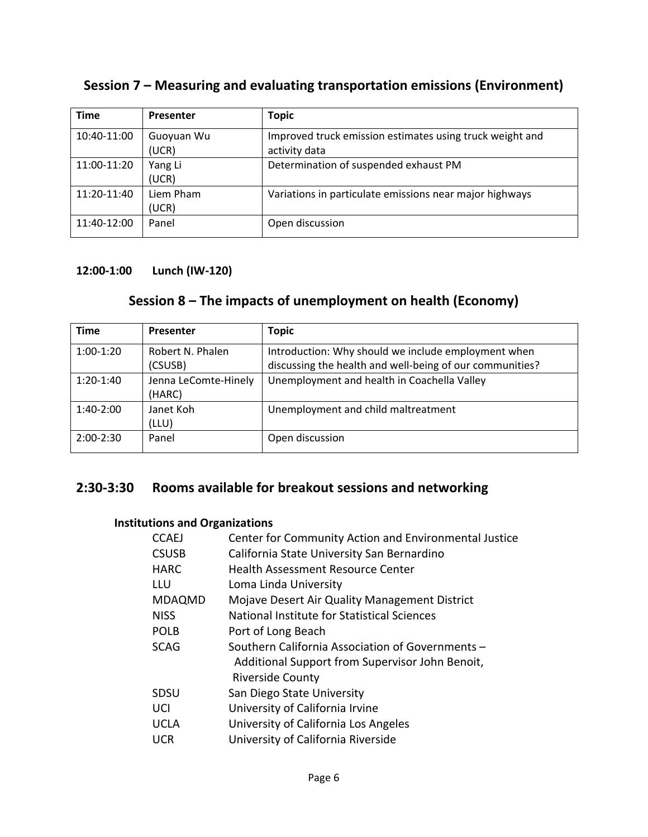## **Session 7 – Measuring and evaluating transportation emissions (Environment)**

| <b>Time</b> | <b>Presenter</b>    | <b>Topic</b>                                                              |
|-------------|---------------------|---------------------------------------------------------------------------|
| 10:40-11:00 | Guoyuan Wu<br>(UCR) | Improved truck emission estimates using truck weight and<br>activity data |
| 11:00-11:20 | Yang Li<br>(UCR)    | Determination of suspended exhaust PM                                     |
| 11:20-11:40 | Liem Pham<br>(UCR)  | Variations in particulate emissions near major highways                   |
| 11:40-12:00 | Panel               | Open discussion                                                           |

## **12:00‐1:00 Lunch (IW‐120)**

## **Session 8 – The impacts of unemployment on health (Economy)**

| <b>Time</b> | Presenter            | <b>Topic</b>                                             |
|-------------|----------------------|----------------------------------------------------------|
| $1:00-1:20$ | Robert N. Phalen     | Introduction: Why should we include employment when      |
|             | (CSUSB)              | discussing the health and well-being of our communities? |
| $1:20-1:40$ | Jenna LeComte-Hinely | Unemployment and health in Coachella Valley              |
|             | (HARC)               |                                                          |
| $1:40-2:00$ | Janet Koh            | Unemployment and child maltreatment                      |
|             | (LLU)                |                                                          |
| $2:00-2:30$ | Panel                | Open discussion                                          |
|             |                      |                                                          |

## **2:30‐3:30 Rooms available for breakout sessions and networking**

## **Institutions and Organizations**

| <b>CCAEJ</b>  | Center for Community Action and Environmental Justice                                                                          |
|---------------|--------------------------------------------------------------------------------------------------------------------------------|
| <b>CSUSB</b>  | California State University San Bernardino                                                                                     |
| <b>HARC</b>   | <b>Health Assessment Resource Center</b>                                                                                       |
| LLU           | Loma Linda University                                                                                                          |
| <b>MDAQMD</b> | Mojave Desert Air Quality Management District                                                                                  |
| <b>NISS</b>   | National Institute for Statistical Sciences                                                                                    |
| <b>POLB</b>   | Port of Long Beach                                                                                                             |
| <b>SCAG</b>   | Southern California Association of Governments -<br>Additional Support from Supervisor John Benoit,<br><b>Riverside County</b> |
| <b>SDSU</b>   | San Diego State University                                                                                                     |
| UCI           | University of California Irvine                                                                                                |
| <b>UCLA</b>   | University of California Los Angeles                                                                                           |
| <b>UCR</b>    | University of California Riverside                                                                                             |
|               |                                                                                                                                |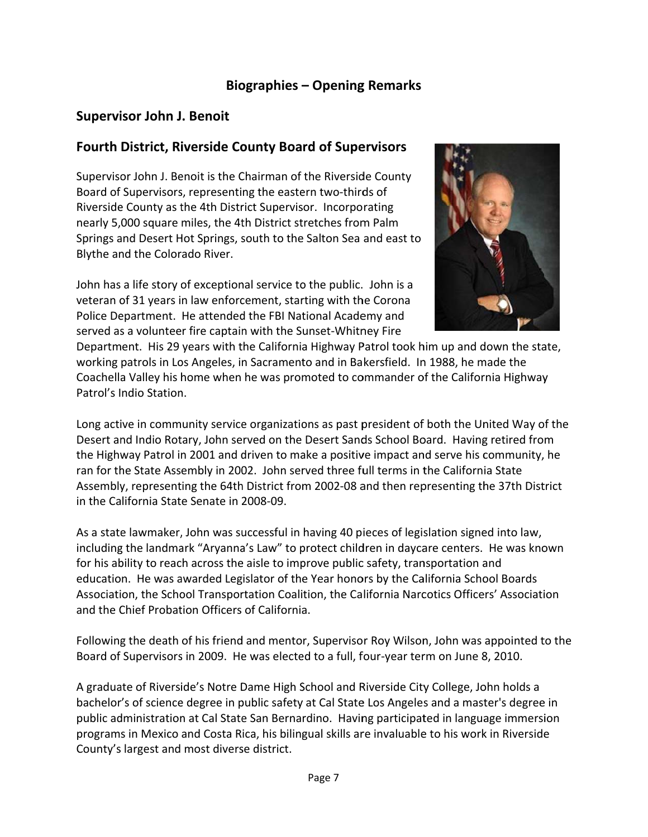## **Biographies - Opening Remarks**

## **Supervisor John J. Benoit**

## **Fourth District, Riverside County Board of Supervisors**

Supervisor John J. Benoit is the Chairman of the Riverside County Board of Supervisors, representing the eastern two-thirds of Riverside County as the 4th District Supervisor. Incorporating nearly 5,000 square miles, the 4th District stretches from Palm Springs and Desert Hot Springs, south to the Salton Sea and east to Blythe and the Colorado River.

John has a life story of exceptional service to the public. John is a veteran of 31 years in law enforcement, starting with the Corona Police Department. He attended the FBI National Academy and served as a volunteer fire captain with the Sunset-Whitney Fire



Department. His 29 years with the California Highway Patrol took him up and down the state, working patrols in Los Angeles, in Sacramento and in Bakersfield. In 1988, he made the Coachella Valley his home when he was promoted to commander of the California Highway Patrol's Indio Station.

Long active in community service organizations as past president of both the United Way of the Desert and Indio Rotary, John served on the Desert Sands School Board. Having retired from the Highway Patrol in 2001 and driven to make a positive impact and serve his community, he ran for the State Assembly in 2002. John served three full terms in the California State Assembly, representing the 64th District from 2002-08 and then representing the 37th District in the California State Senate in 2008-09.

As a state lawmaker, John was successful in having 40 pieces of legislation signed into law, including the landmark "Aryanna's Law" to protect children in daycare centers. He was known for his ability to reach across the aisle to improve public safety, transportation and education. He was awarded Legislator of the Year honors by the California School Boards Association, the School Transportation Coalition, the California Narcotics Officers' Association and the Chief Probation Officers of California.

Following the death of his friend and mentor, Supervisor Roy Wilson, John was appointed to the Board of Supervisors in 2009. He was elected to a full, four-year term on June 8, 2010.

A graduate of Riverside's Notre Dame High School and Riverside City College, John holds a bachelor's of science degree in public safety at Cal State Los Angeles and a master's degree in public administration at Cal State San Bernardino. Having participated in language immersion programs in Mexico and Costa Rica, his bilingual skills are invaluable to his work in Riverside County's largest and most diverse district.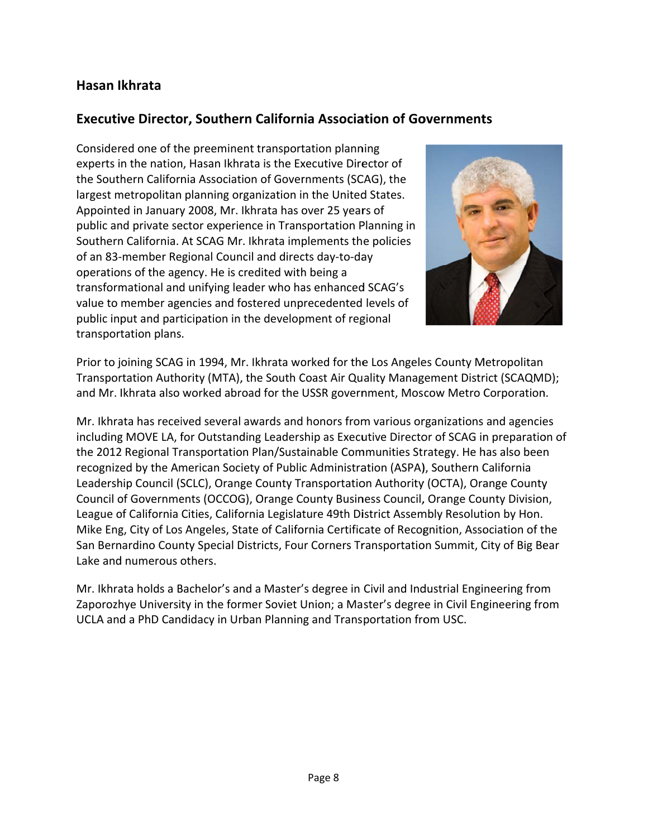## Hasan Ikhrata

## **Executive Director, Southern California Association of Governments**

Considered one of the preeminent transportation planning experts in the nation, Hasan Ikhrata is the Executive Director of the Southern California Association of Governments (SCAG), the largest metropolitan planning organization in the United States. Appointed in January 2008, Mr. Ikhrata has over 25 years of public and private sector experience in Transportation Planning in Southern California. At SCAG Mr. Ikhrata implements the policies of an 83-member Regional Council and directs day-to-day operations of the agency. He is credited with being a transformational and unifying leader who has enhanced SCAG's value to member agencies and fostered unprecedented levels of public input and participation in the development of regional transportation plans.



Prior to joining SCAG in 1994, Mr. Ikhrata worked for the Los Angeles County Metropolitan Transportation Authority (MTA), the South Coast Air Quality Management District (SCAQMD); and Mr. Ikhrata also worked abroad for the USSR government, Moscow Metro Corporation.

Mr. Ikhrata has received several awards and honors from various organizations and agencies including MOVE LA, for Outstanding Leadership as Executive Director of SCAG in preparation of the 2012 Regional Transportation Plan/Sustainable Communities Strategy. He has also been recognized by the American Society of Public Administration (ASPA), Southern California Leadership Council (SCLC), Orange County Transportation Authority (OCTA), Orange County Council of Governments (OCCOG), Orange County Business Council, Orange County Division, League of California Cities, California Legislature 49th District Assembly Resolution by Hon. Mike Eng, City of Los Angeles, State of California Certificate of Recognition, Association of the San Bernardino County Special Districts, Four Corners Transportation Summit, City of Big Bear Lake and numerous others.

Mr. Ikhrata holds a Bachelor's and a Master's degree in Civil and Industrial Engineering from Zaporozhye University in the former Soviet Union; a Master's degree in Civil Engineering from UCLA and a PhD Candidacy in Urban Planning and Transportation from USC.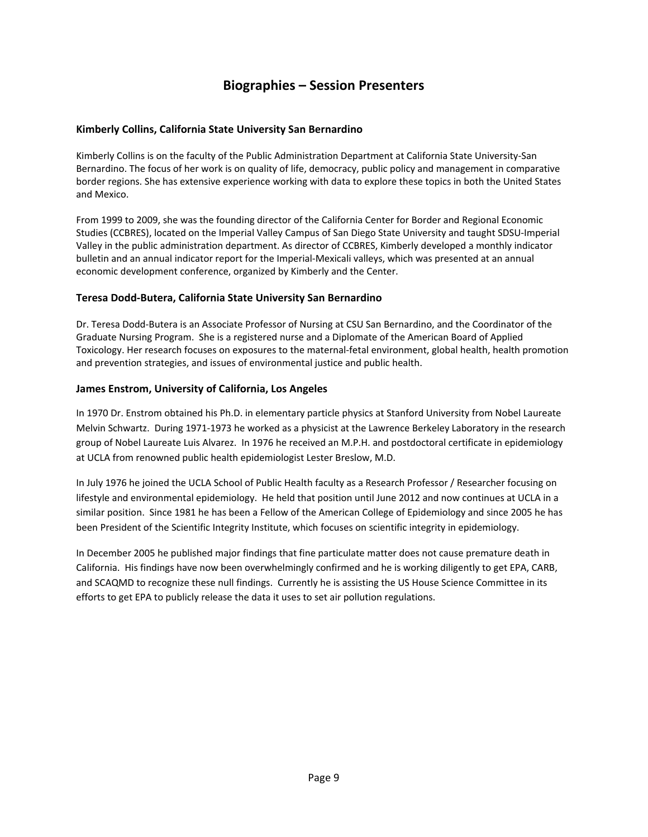## **Biographies – Session Presenters**

### **Kimberly Collins, California State University San Bernardino**

Kimberly Collins is on the faculty of the Public Administration Department at California State University‐San Bernardino. The focus of her work is on quality of life, democracy, public policy and management in comparative border regions. She has extensive experience working with data to explore these topics in both the United States and Mexico.

From 1999 to 2009, she was the founding director of the California Center for Border and Regional Economic Studies (CCBRES), located on the Imperial Valley Campus of San Diego State University and taught SDSU‐Imperial Valley in the public administration department. As director of CCBRES, Kimberly developed a monthly indicator bulletin and an annual indicator report for the Imperial‐Mexicali valleys, which was presented at an annual economic development conference, organized by Kimberly and the Center.

#### **Teresa Dodd‐Butera, California State University San Bernardino**

Dr. Teresa Dodd‐Butera is an Associate Professor of Nursing at CSU San Bernardino, and the Coordinator of the Graduate Nursing Program. She is a registered nurse and a Diplomate of the American Board of Applied Toxicology. Her research focuses on exposures to the maternal‐fetal environment, global health, health promotion and prevention strategies, and issues of environmental justice and public health.

#### **James Enstrom, University of California, Los Angeles**

In 1970 Dr. Enstrom obtained his Ph.D. in elementary particle physics at Stanford University from Nobel Laureate Melvin Schwartz. During 1971‐1973 he worked as a physicist at the Lawrence Berkeley Laboratory in the research group of Nobel Laureate Luis Alvarez. In 1976 he received an M.P.H. and postdoctoral certificate in epidemiology at UCLA from renowned public health epidemiologist Lester Breslow, M.D.

In July 1976 he joined the UCLA School of Public Health faculty as a Research Professor / Researcher focusing on lifestyle and environmental epidemiology. He held that position until June 2012 and now continues at UCLA in a similar position. Since 1981 he has been a Fellow of the American College of Epidemiology and since 2005 he has been President of the Scientific Integrity Institute, which focuses on scientific integrity in epidemiology.

In December 2005 he published major findings that fine particulate matter does not cause premature death in California. His findings have now been overwhelmingly confirmed and he is working diligently to get EPA, CARB, and SCAQMD to recognize these null findings. Currently he is assisting the US House Science Committee in its efforts to get EPA to publicly release the data it uses to set air pollution regulations.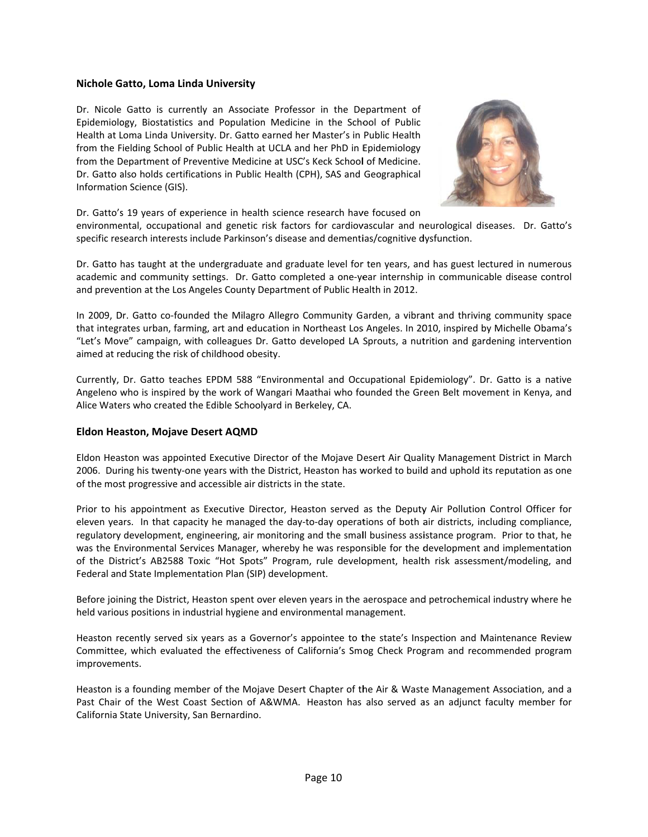#### Nichole Gatto, Loma Linda University

Dr. Nicole Gatto is currently an Associate Professor in the Department of Epidemiology, Biostatistics and Population Medicine in the School of Public Health at Loma Linda University. Dr. Gatto earned her Master's in Public Health from the Fielding School of Public Health at UCLA and her PhD in Epidemiology from the Department of Preventive Medicine at USC's Keck School of Medicine. Dr. Gatto also holds certifications in Public Health (CPH), SAS and Geographical Information Science (GIS).



Dr. Gatto's 19 years of experience in health science research have focused on

environmental, occupational and genetic risk factors for cardiovascular and neurological diseases. Dr. Gatto's specific research interests include Parkinson's disease and dementias/cognitive dysfunction.

Dr. Gatto has taught at the undergraduate and graduate level for ten years, and has guest lectured in numerous academic and community settings. Dr. Gatto completed a one-year internship in communicable disease control and prevention at the Los Angeles County Department of Public Health in 2012.

In 2009, Dr. Gatto co-founded the Milagro Allegro Community Garden, a vibrant and thriving community space that integrates urban, farming, art and education in Northeast Los Angeles. In 2010, inspired by Michelle Obama's "Let's Move" campaign, with colleagues Dr. Gatto developed LA Sprouts, a nutrition and gardening intervention aimed at reducing the risk of childhood obesity.

Currently, Dr. Gatto teaches EPDM 588 "Environmental and Occupational Epidemiology". Dr. Gatto is a native Angeleno who is inspired by the work of Wangari Maathai who founded the Green Belt movement in Kenya, and Alice Waters who created the Edible Schoolyard in Berkeley, CA.

#### **Eldon Heaston, Mojave Desert AQMD**

Eldon Heaston was appointed Executive Director of the Mojave Desert Air Quality Management District in March 2006. During his twenty-one years with the District, Heaston has worked to build and uphold its reputation as one of the most progressive and accessible air districts in the state.

Prior to his appointment as Executive Director, Heaston served as the Deputy Air Pollution Control Officer for eleven years. In that capacity he managed the day-to-day operations of both air districts, including compliance, regulatory development, engineering, air monitoring and the small business assistance program. Prior to that, he was the Environmental Services Manager, whereby he was responsible for the development and implementation of the District's AB2588 Toxic "Hot Spots" Program, rule development, health risk assessment/modeling, and Federal and State Implementation Plan (SIP) development.

Before joining the District, Heaston spent over eleven years in the aerospace and petrochemical industry where he held various positions in industrial hygiene and environmental management.

Heaston recently served six years as a Governor's appointee to the state's Inspection and Maintenance Review Committee, which evaluated the effectiveness of California's Smog Check Program and recommended program improvements.

Heaston is a founding member of the Mojave Desert Chapter of the Air & Waste Management Association, and a Past Chair of the West Coast Section of A&WMA. Heaston has also served as an adjunct faculty member for California State University, San Bernardino.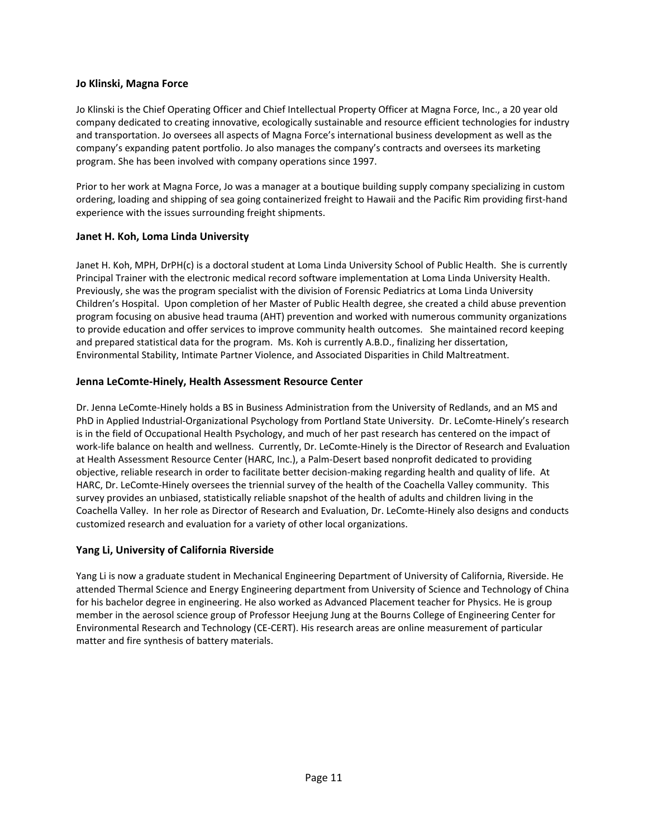### **Jo Klinski, Magna Force**

Jo Klinski is the Chief Operating Officer and Chief Intellectual Property Officer at Magna Force, Inc., a 20 year old company dedicated to creating innovative, ecologically sustainable and resource efficient technologies for industry and transportation. Jo oversees all aspects of Magna Force's international business development as well as the company's expanding patent portfolio. Jo also manages the company's contracts and oversees its marketing program. She has been involved with company operations since 1997.

Prior to her work at Magna Force, Jo was a manager at a boutique building supply company specializing in custom ordering, loading and shipping of sea going containerized freight to Hawaii and the Pacific Rim providing first‐hand experience with the issues surrounding freight shipments.

#### **Janet H. Koh, Loma Linda University**

Janet H. Koh, MPH, DrPH(c) is a doctoral student at Loma Linda University School of Public Health. She is currently Principal Trainer with the electronic medical record software implementation at Loma Linda University Health. Previously, she was the program specialist with the division of Forensic Pediatrics at Loma Linda University Children's Hospital. Upon completion of her Master of Public Health degree, she created a child abuse prevention program focusing on abusive head trauma (AHT) prevention and worked with numerous community organizations to provide education and offer services to improve community health outcomes. She maintained record keeping and prepared statistical data for the program. Ms. Koh is currently A.B.D., finalizing her dissertation, Environmental Stability, Intimate Partner Violence, and Associated Disparities in Child Maltreatment.

#### **Jenna LeComte‐Hinely, Health Assessment Resource Center**

Dr. Jenna LeComte‐Hinely holds a BS in Business Administration from the University of Redlands, and an MS and PhD in Applied Industrial‐Organizational Psychology from Portland State University. Dr. LeComte‐Hinely's research is in the field of Occupational Health Psychology, and much of her past research has centered on the impact of work‐life balance on health and wellness. Currently, Dr. LeComte‐Hinely is the Director of Research and Evaluation at Health Assessment Resource Center (HARC, Inc.), a Palm‐Desert based nonprofit dedicated to providing objective, reliable research in order to facilitate better decision‐making regarding health and quality of life. At HARC, Dr. LeComte‐Hinely oversees the triennial survey of the health of the Coachella Valley community. This survey provides an unbiased, statistically reliable snapshot of the health of adults and children living in the Coachella Valley. In her role as Director of Research and Evaluation, Dr. LeComte‐Hinely also designs and conducts customized research and evaluation for a variety of other local organizations.

#### **Yang Li, University of California Riverside**

Yang Li is now a graduate student in Mechanical Engineering Department of University of California, Riverside. He attended Thermal Science and Energy Engineering department from University of Science and Technology of China for his bachelor degree in engineering. He also worked as Advanced Placement teacher for Physics. He is group member in the aerosol science group of Professor Heejung Jung at the Bourns College of Engineering Center for Environmental Research and Technology (CE‐CERT). His research areas are online measurement of particular matter and fire synthesis of battery materials.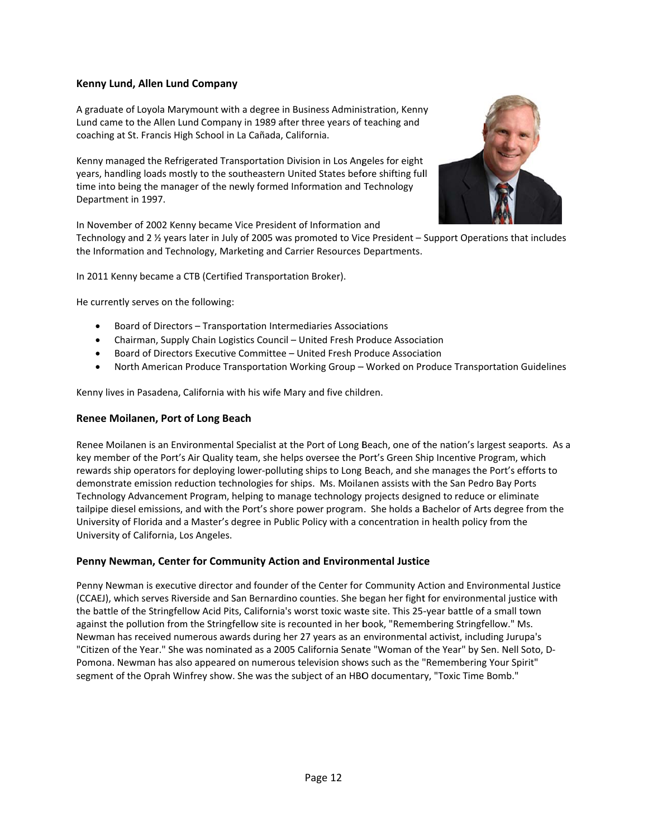### Kenny Lund, Allen Lund Company

A graduate of Loyola Marymount with a degree in Business Administration, Kenny Lund came to the Allen Lund Company in 1989 after three years of teaching and coaching at St. Francis High School in La Cañada, California.

Kenny managed the Refrigerated Transportation Division in Los Angeles for eight years, handling loads mostly to the southeastern United States before shifting full time into being the manager of the newly formed Information and Technology Department in 1997.



In November of 2002 Kenny became Vice President of Information and

Technology and 2 1/2 years later in July of 2005 was promoted to Vice President - Support Operations that includes the Information and Technology, Marketing and Carrier Resources Departments.

In 2011 Kenny became a CTB (Certified Transportation Broker).

He currently serves on the following:

- Board of Directors Transportation Intermediaries Associations
- Chairman, Supply Chain Logistics Council United Fresh Produce Association
- Board of Directors Executive Committee United Fresh Produce Association
- $\bullet$ North American Produce Transportation Working Group - Worked on Produce Transportation Guidelines

Kenny lives in Pasadena, California with his wife Mary and five children.

#### Renee Moilanen, Port of Long Beach

Renee Moilanen is an Environmental Specialist at the Port of Long Beach, one of the nation's largest seaports. As a key member of the Port's Air Quality team, she helps oversee the Port's Green Ship Incentive Program, which rewards ship operators for deploying lower-polluting ships to Long Beach, and she manages the Port's efforts to demonstrate emission reduction technologies for ships. Ms. Moilanen assists with the San Pedro Bay Ports Technology Advancement Program, helping to manage technology projects designed to reduce or eliminate tailpipe diesel emissions, and with the Port's shore power program. She holds a Bachelor of Arts degree from the University of Florida and a Master's degree in Public Policy with a concentration in health policy from the University of California, Los Angeles.

### Penny Newman, Center for Community Action and Environmental Justice

Penny Newman is executive director and founder of the Center for Community Action and Environmental Justice (CCAEJ), which serves Riverside and San Bernardino counties. She began her fight for environmental justice with the battle of the Stringfellow Acid Pits, California's worst toxic waste site. This 25-year battle of a small town against the pollution from the Stringfellow site is recounted in her book, "Remembering Stringfellow." Ms. Newman has received numerous awards during her 27 years as an environmental activist, including Jurupa's "Citizen of the Year." She was nominated as a 2005 California Senate "Woman of the Year" by Sen. Nell Soto, D-Pomona. Newman has also appeared on numerous television shows such as the "Remembering Your Spirit" segment of the Oprah Winfrey show. She was the subject of an HBO documentary, "Toxic Time Bomb."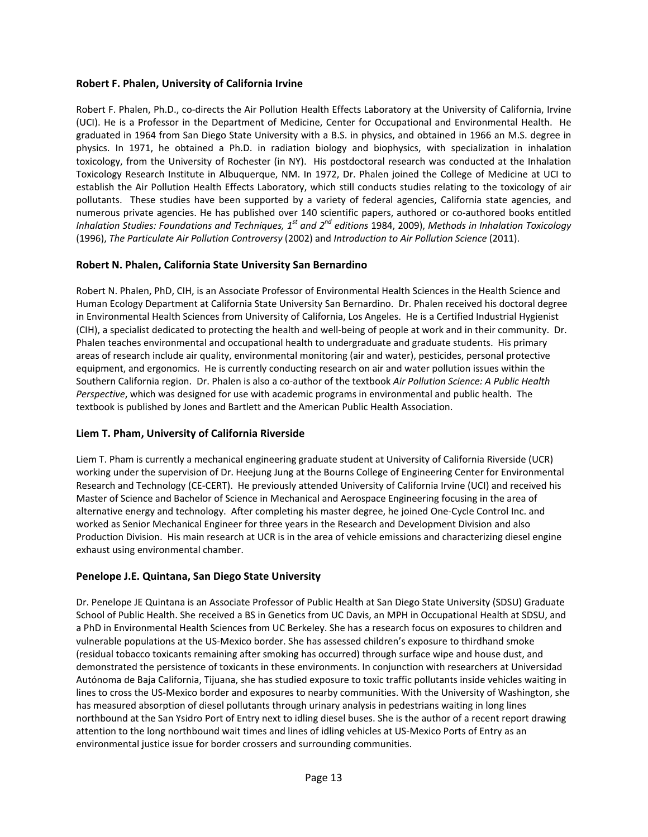### **Robert F. Phalen, University of California Irvine**

Robert F. Phalen, Ph.D., co‐directs the Air Pollution Health Effects Laboratory at the University of California, Irvine (UCI). He is a Professor in the Department of Medicine, Center for Occupational and Environmental Health. He graduated in 1964 from San Diego State University with a B.S. in physics, and obtained in 1966 an M.S. degree in physics. In 1971, he obtained a Ph.D. in radiation biology and biophysics, with specialization in inhalation toxicology, from the University of Rochester (in NY). His postdoctoral research was conducted at the Inhalation Toxicology Research Institute in Albuquerque, NM. In 1972, Dr. Phalen joined the College of Medicine at UCI to establish the Air Pollution Health Effects Laboratory, which still conducts studies relating to the toxicology of air pollutants. These studies have been supported by a variety of federal agencies, California state agencies, and numerous private agencies. He has published over 140 scientific papers, authored or co-authored books entitled *Inhalation Studies: Foundations and Techniques, 1st and 2nd editions* 1984, 2009), *Methods in Inhalation Toxicology* (1996), *The Particulate Air Pollution Controversy* (2002) and *Introduction to Air Pollution Science* (2011).

### **Robert N. Phalen, California State University San Bernardino**

Robert N. Phalen, PhD, CIH, is an Associate Professor of Environmental Health Sciences in the Health Science and Human Ecology Department at California State University San Bernardino. Dr. Phalen received his doctoral degree in Environmental Health Sciences from University of California, Los Angeles. He is a Certified Industrial Hygienist (CIH), a specialist dedicated to protecting the health and well‐being of people at work and in their community. Dr. Phalen teaches environmental and occupational health to undergraduate and graduate students. His primary areas of research include air quality, environmental monitoring (air and water), pesticides, personal protective equipment, and ergonomics. He is currently conducting research on air and water pollution issues within the Southern California region. Dr. Phalen is also a co‐author of the textbook *Air Pollution Science: A Public Health Perspective*, which was designed for use with academic programs in environmental and public health. The textbook is published by Jones and Bartlett and the American Public Health Association.

### **Liem T. Pham, University of California Riverside**

Liem T. Pham is currently a mechanical engineering graduate student at University of California Riverside (UCR) working under the supervision of Dr. Heejung Jung at the Bourns College of Engineering Center for Environmental Research and Technology (CE‐CERT). He previously attended University of California Irvine (UCI) and received his Master of Science and Bachelor of Science in Mechanical and Aerospace Engineering focusing in the area of alternative energy and technology. After completing his master degree, he joined One‐Cycle Control Inc. and worked as Senior Mechanical Engineer for three years in the Research and Development Division and also Production Division. His main research at UCR is in the area of vehicle emissions and characterizing diesel engine exhaust using environmental chamber.

### **Penelope J.E. Quintana, San Diego State University**

Dr. Penelope JE Quintana is an Associate Professor of Public Health at San Diego State University (SDSU) Graduate School of Public Health. She received a BS in Genetics from UC Davis, an MPH in Occupational Health at SDSU, and a PhD in Environmental Health Sciences from UC Berkeley. She has a research focus on exposures to children and vulnerable populations at the US‐Mexico border. She has assessed children's exposure to thirdhand smoke (residual tobacco toxicants remaining after smoking has occurred) through surface wipe and house dust, and demonstrated the persistence of toxicants in these environments. In conjunction with researchers at Universidad Autónoma de Baja California, Tijuana, she has studied exposure to toxic traffic pollutants inside vehicles waiting in lines to cross the US‐Mexico border and exposures to nearby communities. With the University of Washington, she has measured absorption of diesel pollutants through urinary analysis in pedestrians waiting in long lines northbound at the San Ysidro Port of Entry next to idling diesel buses. She is the author of a recent report drawing attention to the long northbound wait times and lines of idling vehicles at US‐Mexico Ports of Entry as an environmental justice issue for border crossers and surrounding communities.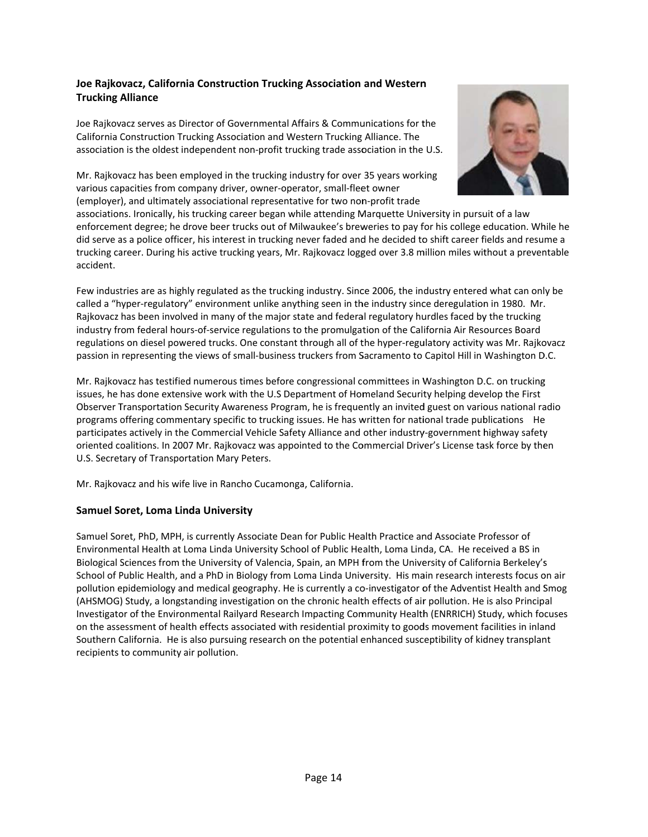### Joe Rajkovacz, California Construction Trucking Association and Western **Trucking Alliance**

Joe Rajkovacz serves as Director of Governmental Affairs & Communications for the California Construction Trucking Association and Western Trucking Alliance. The association is the oldest independent non-profit trucking trade association in the U.S.

Mr. Rajkovacz has been employed in the trucking industry for over 35 years working various capacities from company driver, owner-operator, small-fleet owner (employer), and ultimately associational representative for two non-profit trade



associations. Ironically, his trucking career began while attending Marquette University in pursuit of a law enforcement degree; he drove beer trucks out of Milwaukee's breweries to pay for his college education. While he did serve as a police officer, his interest in trucking never faded and he decided to shift career fields and resume a trucking career. During his active trucking years, Mr. Rajkovacz logged over 3.8 million miles without a preventable accident.

Few industries are as highly regulated as the trucking industry. Since 2006, the industry entered what can only be called a "hyper-regulatory" environment unlike anything seen in the industry since deregulation in 1980. Mr. Rajkovacz has been involved in many of the major state and federal regulatory hurdles faced by the trucking industry from federal hours-of-service regulations to the promulgation of the California Air Resources Board regulations on diesel powered trucks. One constant through all of the hyper-regulatory activity was Mr. Rajkovacz passion in representing the views of small-business truckers from Sacramento to Capitol Hill in Washington D.C.

Mr. Rajkovacz has testified numerous times before congressional committees in Washington D.C. on trucking issues, he has done extensive work with the U.S Department of Homeland Security helping develop the First Observer Transportation Security Awareness Program, he is frequently an invited guest on various national radio programs offering commentary specific to trucking issues. He has written for national trade publications He participates actively in the Commercial Vehicle Safety Alliance and other industry-government highway safety oriented coalitions. In 2007 Mr. Rajkovacz was appointed to the Commercial Driver's License task force by then U.S. Secretary of Transportation Mary Peters.

Mr. Rajkovacz and his wife live in Rancho Cucamonga, California.

#### **Samuel Soret, Loma Linda University**

Samuel Soret, PhD, MPH, is currently Associate Dean for Public Health Practice and Associate Professor of Environmental Health at Loma Linda University School of Public Health, Loma Linda, CA. He received a BS in Biological Sciences from the University of Valencia, Spain, an MPH from the University of California Berkeley's School of Public Health, and a PhD in Biology from Loma Linda University. His main research interests focus on air pollution epidemiology and medical geography. He is currently a co-investigator of the Adventist Health and Smog (AHSMOG) Study, a longstanding investigation on the chronic health effects of air pollution. He is also Principal Investigator of the Environmental Railyard Research Impacting Community Health (ENRRICH) Study, which focuses on the assessment of health effects associated with residential proximity to goods movement facilities in inland Southern California. He is also pursuing research on the potential enhanced susceptibility of kidney transplant recipients to community air pollution.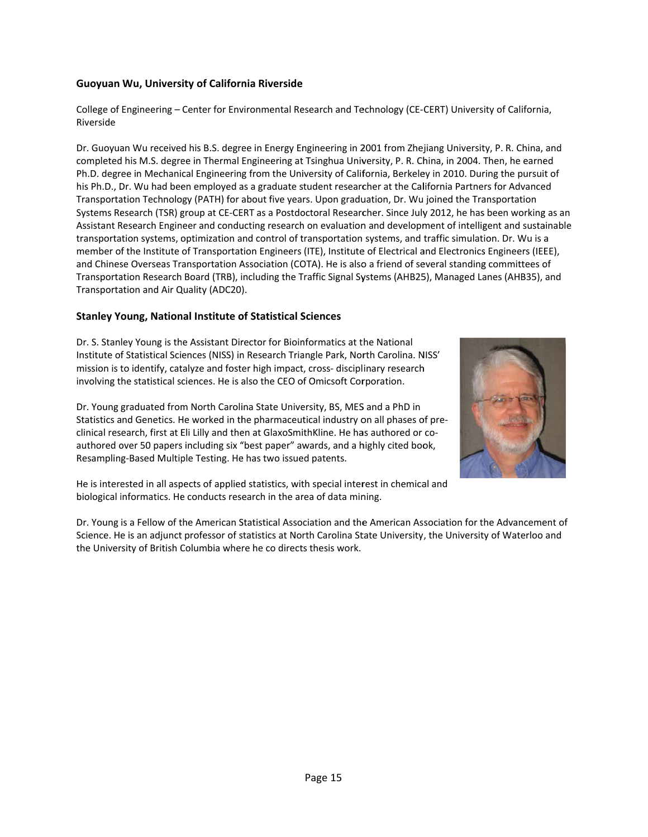### **Guoyuan Wu, Univers ity of Californ nia Riverside**

College of Engineering – Center for Environmental Research and Technology (CE-CERT) University of California, Riverside

Dr. Guoyuan Wu received his B.S. degree in Energy Engineering in 2001 from Zhejiang University, P. R. China, and completed his M.S. degree in Thermal Engineering at Tsinghua University, P. R. China, in 2004. Then, he earned Ph.D. degree in Mechanical Engineering from the University of California, Berkeley in 2010. During the pursuit of his Ph.D., Dr. Wu had been employed as a graduate student researcher at the California Partners for Advanced Transportation Technology (PATH) for about five years. Upon graduation, Dr. Wu joined the Transportation Systems Research (TSR) group at CE-CERT as a Postdoctoral Researcher. Since July 2012, he has been working as an Assistant Research Engineer and conducting research on evaluation and development of intelligent and sustainable transportation systems, optimization and control of transportation systems, and traffic simulation. Dr. Wu is a member of the Institute of Transportation Engineers (ITE), Institute of Electrical and Electronics Engineers (IEEE), and Chinese Overseas Transportation Association (COTA). He is also a friend of several standing committees of Transportation Research Board (TRB), including the Traffic Signal Systems (AHB25), Managed Lanes (AHB35), and Transportation and Air Quality (ADC20).

### **Stanley Young, National Institute of Statistical Sciences**

Dr. S. Stanley Young is the Assistant Director for Bioinformatics at the National Institute of Statistical Sciences (NISS) in Research Triangle Park, North Carolina. NISS' mission is to identify, catalyze and foster high impact, cross- disciplinary research involving the statistical sciences. He is also the CEO of Omicsoft Corporation.

Dr. Young graduated from North Carolina State University, BS, MES and a PhD in mission is to identify, catalyze and foster high impact, cross- disciplinary research<br>involving the statistical sciences. He is also the CEO of Omicsoft Corporation.<br>Dr. Young graduated from North Carolina State University clinical research, first at Eli Lilly and then at GlaxoSmithKline. He has authored or coauthored over 50 papers including six "best paper" awards, and a highly cited book, Resampling-Based Multiple Testing. He has two issued patents.

He is interested in all aspects of applied statistics, with special interest in chemical and biological informatics. He conducts research in the area of data mining.

Dr. Young is a Fellow of the American Statistical Association and the American Association for the Advancement of Science. He is an adjunct professor of statistics at North Carolina State University, the University of Waterloo and the University of British Columbia where he co directs thesis work.

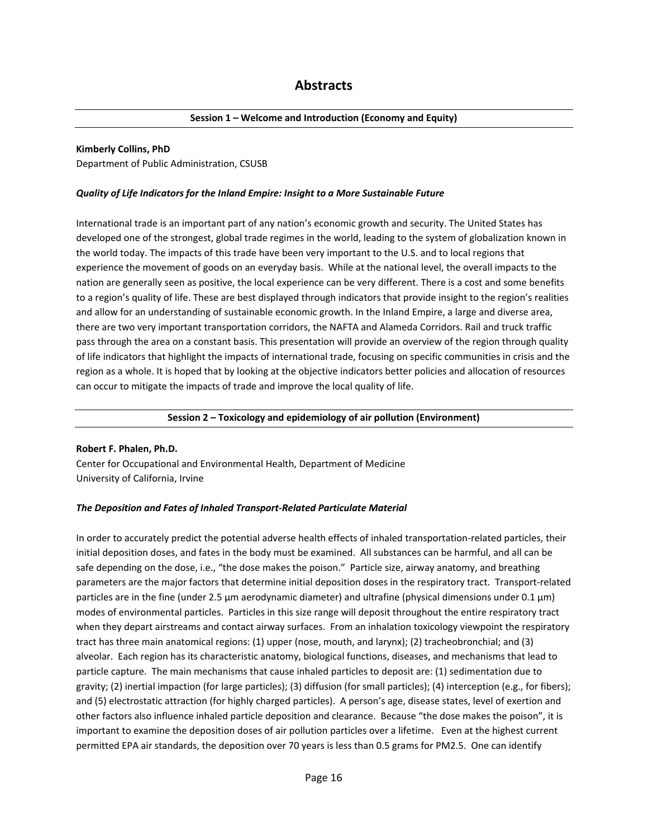#### **Session 1 – Welcome and Introduction (Economy and Equity)**

#### **Kimberly Collins, PhD**

Department of Public Administration, CSUSB

#### *Quality of Life Indicators for the Inland Empire: Insight to a More Sustainable Future*

International trade is an important part of any nation's economic growth and security. The United States has developed one of the strongest, global trade regimes in the world, leading to the system of globalization known in the world today. The impacts of this trade have been very important to the U.S. and to local regions that experience the movement of goods on an everyday basis. While at the national level, the overall impacts to the nation are generally seen as positive, the local experience can be very different. There is a cost and some benefits to a region's quality of life. These are best displayed through indicators that provide insight to the region's realities and allow for an understanding of sustainable economic growth. In the Inland Empire, a large and diverse area, there are two very important transportation corridors, the NAFTA and Alameda Corridors. Rail and truck traffic pass through the area on a constant basis. This presentation will provide an overview of the region through quality of life indicators that highlight the impacts of international trade, focusing on specific communities in crisis and the region as a whole. It is hoped that by looking at the objective indicators better policies and allocation of resources can occur to mitigate the impacts of trade and improve the local quality of life.

#### **Session 2 – Toxicology and epidemiology of air pollution (Environment)**

#### **Robert F. Phalen, Ph.D.**

Center for Occupational and Environmental Health, Department of Medicine University of California, Irvine

#### *The Deposition and Fates of Inhaled Transport‐Related Particulate Material*

In order to accurately predict the potential adverse health effects of inhaled transportation‐related particles, their initial deposition doses, and fates in the body must be examined. All substances can be harmful, and all can be safe depending on the dose, i.e., "the dose makes the poison." Particle size, airway anatomy, and breathing parameters are the major factors that determine initial deposition doses in the respiratory tract. Transport‐related particles are in the fine (under 2.5 μm aerodynamic diameter) and ultrafine (physical dimensions under 0.1 μm) modes of environmental particles. Particles in this size range will deposit throughout the entire respiratory tract when they depart airstreams and contact airway surfaces. From an inhalation toxicology viewpoint the respiratory tract has three main anatomical regions: (1) upper (nose, mouth, and larynx); (2) tracheobronchial; and (3) alveolar. Each region has its characteristic anatomy, biological functions, diseases, and mechanisms that lead to particle capture. The main mechanisms that cause inhaled particles to deposit are: (1) sedimentation due to gravity; (2) inertial impaction (for large particles); (3) diffusion (for small particles); (4) interception (e.g., for fibers); and (5) electrostatic attraction (for highly charged particles). A person's age, disease states, level of exertion and other factors also influence inhaled particle deposition and clearance. Because "the dose makes the poison", it is important to examine the deposition doses of air pollution particles over a lifetime. Even at the highest current permitted EPA air standards, the deposition over 70 years is less than 0.5 grams for PM2.5. One can identify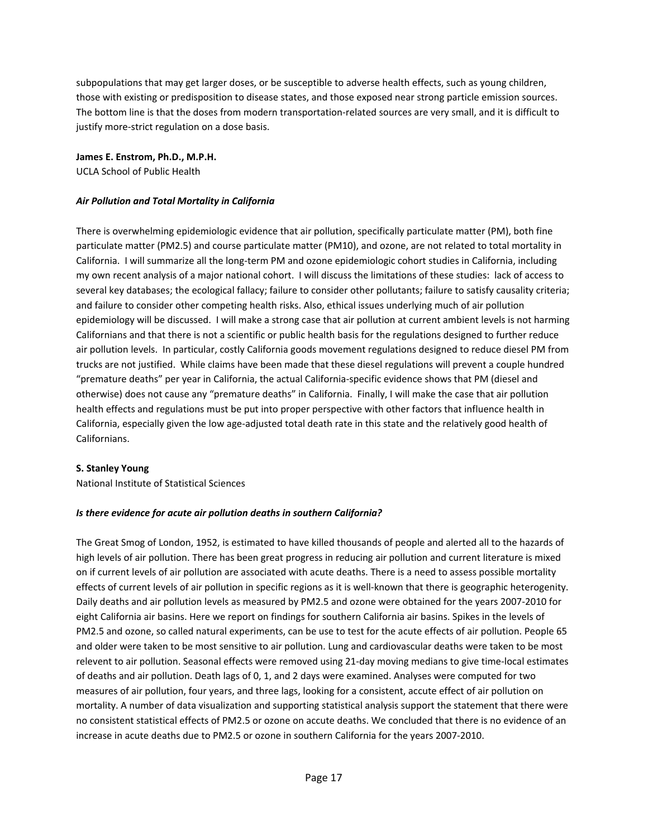subpopulations that may get larger doses, or be susceptible to adverse health effects, such as young children, those with existing or predisposition to disease states, and those exposed near strong particle emission sources. The bottom line is that the doses from modern transportation-related sources are very small, and it is difficult to justify more‐strict regulation on a dose basis.

**James E. Enstrom, Ph.D., M.P.H.** UCLA School of Public Health

#### *Air Pollution and Total Mortality in California*

There is overwhelming epidemiologic evidence that air pollution, specifically particulate matter (PM), both fine particulate matter (PM2.5) and course particulate matter (PM10), and ozone, are not related to total mortality in California. I will summarize all the long‐term PM and ozone epidemiologic cohort studies in California, including my own recent analysis of a major national cohort. I will discuss the limitations of these studies: lack of access to several key databases; the ecological fallacy; failure to consider other pollutants; failure to satisfy causality criteria; and failure to consider other competing health risks. Also, ethical issues underlying much of air pollution epidemiology will be discussed. I will make a strong case that air pollution at current ambient levels is not harming Californians and that there is not a scientific or public health basis for the regulations designed to further reduce air pollution levels. In particular, costly California goods movement regulations designed to reduce diesel PM from trucks are not justified. While claims have been made that these diesel regulations will prevent a couple hundred "premature deaths" per year in California, the actual California‐specific evidence shows that PM (diesel and otherwise) does not cause any "premature deaths" in California. Finally, I will make the case that air pollution health effects and regulations must be put into proper perspective with other factors that influence health in California, especially given the low age‐adjusted total death rate in this state and the relatively good health of Californians.

#### **S. Stanley Young**

National Institute of Statistical Sciences

#### *Is there evidence for acute air pollution deaths in southern California?*

The Great Smog of London, 1952, is estimated to have killed thousands of people and alerted all to the hazards of high levels of air pollution. There has been great progress in reducing air pollution and current literature is mixed on if current levels of air pollution are associated with acute deaths. There is a need to assess possible mortality effects of current levels of air pollution in specific regions as it is well-known that there is geographic heterogenity. Daily deaths and air pollution levels as measured by PM2.5 and ozone were obtained for the years 2007‐2010 for eight California air basins. Here we report on findings for southern California air basins. Spikes in the levels of PM2.5 and ozone, so called natural experiments, can be use to test for the acute effects of air pollution. People 65 and older were taken to be most sensitive to air pollution. Lung and cardiovascular deaths were taken to be most relevent to air pollution. Seasonal effects were removed using 21‐day moving medians to give time‐local estimates of deaths and air pollution. Death lags of 0, 1, and 2 days were examined. Analyses were computed for two measures of air pollution, four years, and three lags, looking for a consistent, accute effect of air pollution on mortality. A number of data visualization and supporting statistical analysis support the statement that there were no consistent statistical effects of PM2.5 or ozone on accute deaths. We concluded that there is no evidence of an increase in acute deaths due to PM2.5 or ozone in southern California for the years 2007‐2010.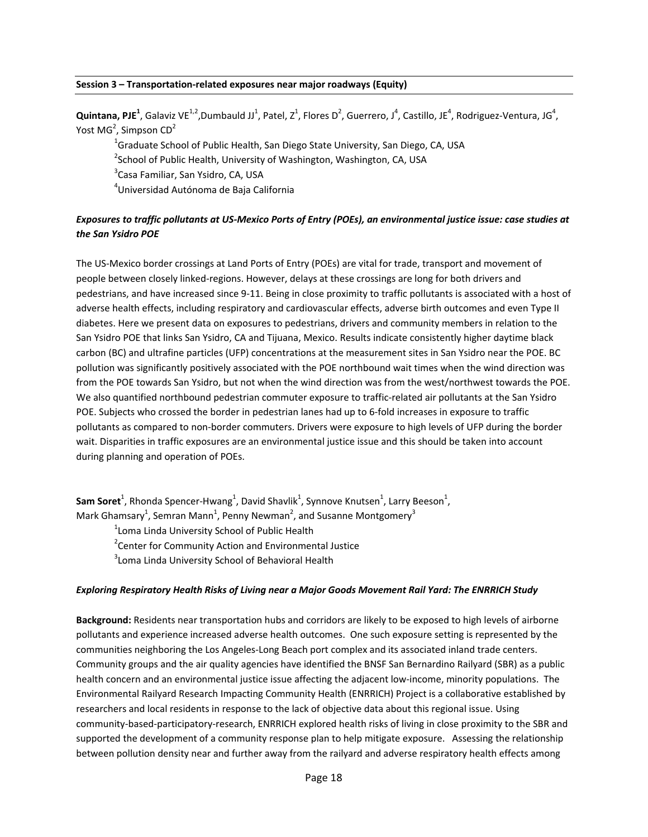#### **Session 3 – Transportation‐related exposures near major roadways (Equity)**

 $Q$ uintana, PJE<sup>1</sup>, Galaviz VE<sup>1,2</sup>,Dumbauld JJ<sup>1</sup>, Patel, Z<sup>1</sup>, Flores D<sup>2</sup>, Guerrero, J<sup>4</sup>, Castillo, JE<sup>4</sup>, Rodriguez-Ventura, JG<sup>4</sup>, Yost MG<sup>2</sup>, Simpson CD<sup>2</sup>

<sup>1</sup>Graduate School of Public Health, San Diego State University, San Diego, CA, USA

<sup>2</sup>School of Public Health, University of Washington, Washington, CA, USA

<sup>3</sup>Casa Familiar, San Ysidro, CA, USA

4 Universidad Autónoma de Baja California

### Exposures to traffic pollutants at US-Mexico Ports of Entry (POEs), an environmental justice issue: case studies at *the San Ysidro POE*

The US‐Mexico border crossings at Land Ports of Entry (POEs) are vital for trade, transport and movement of people between closely linked‐regions. However, delays at these crossings are long for both drivers and pedestrians, and have increased since 9‐11. Being in close proximity to traffic pollutants is associated with a host of adverse health effects, including respiratory and cardiovascular effects, adverse birth outcomes and even Type II diabetes. Here we present data on exposures to pedestrians, drivers and community members in relation to the San Ysidro POE that links San Ysidro, CA and Tijuana, Mexico. Results indicate consistently higher daytime black carbon (BC) and ultrafine particles (UFP) concentrations at the measurement sites in San Ysidro near the POE. BC pollution was significantly positively associated with the POE northbound wait times when the wind direction was from the POE towards San Ysidro, but not when the wind direction was from the west/northwest towards the POE. We also quantified northbound pedestrian commuter exposure to traffic‐related air pollutants at the San Ysidro POE. Subjects who crossed the border in pedestrian lanes had up to 6‐fold increases in exposure to traffic pollutants as compared to non‐border commuters. Drivers were exposure to high levels of UFP during the border wait. Disparities in traffic exposures are an environmental justice issue and this should be taken into account during planning and operation of POEs.

**Sam Soret<sup>1</sup>,** Rhonda Spencer-Hwang<sup>1</sup>, David Shavlik<sup>1</sup>, Synnove Knutsen<sup>1</sup>, Larry Beeson<sup>1</sup>, Mark Ghamsary<sup>1</sup>, Semran Mann<sup>1</sup>, Penny Newman<sup>2</sup>, and Susanne Montgomery<sup>3</sup>

<sup>1</sup> Loma Linda University School of Public Health

<sup>2</sup> Center for Community Action and Environmental Justice

 $3$ Loma Linda University School of Behavioral Health

#### *Exploring Respiratory Health Risks of Living near a Major Goods Movement Rail Yard: The ENRRICH Study*

**Background:** Residents near transportation hubs and corridors are likely to be exposed to high levels of airborne pollutants and experience increased adverse health outcomes. One such exposure setting is represented by the communities neighboring the Los Angeles-Long Beach port complex and its associated inland trade centers. Community groups and the air quality agencies have identified the BNSF San Bernardino Railyard (SBR) as a public health concern and an environmental justice issue affecting the adjacent low-income, minority populations. The Environmental Railyard Research Impacting Community Health (ENRRICH) Project is a collaborative established by researchers and local residents in response to the lack of objective data about this regional issue. Using community‐based‐participatory‐research, ENRRICH explored health risks of living in close proximity to the SBR and supported the development of a community response plan to help mitigate exposure. Assessing the relationship between pollution density near and further away from the railyard and adverse respiratory health effects among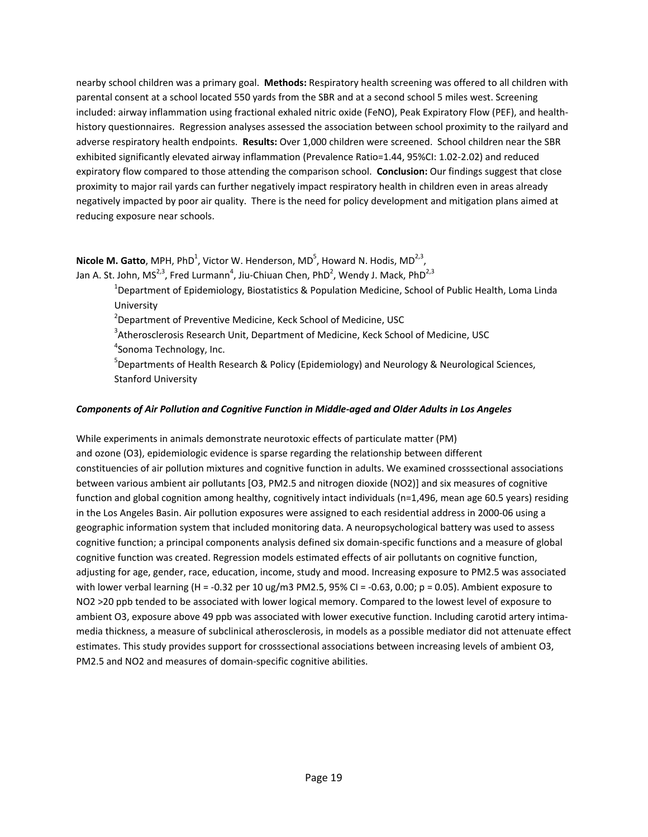nearby school children was a primary goal. **Methods:** Respiratory health screening was offered to all children with parental consent at a school located 550 yards from the SBR and at a second school 5 miles west. Screening included: airway inflammation using fractional exhaled nitric oxide (FeNO), Peak Expiratory Flow (PEF), and health‐ history questionnaires. Regression analyses assessed the association between school proximity to the railyard and adverse respiratory health endpoints. **Results:** Over 1,000 children were screened. School children near the SBR exhibited significantly elevated airway inflammation (Prevalence Ratio=1.44, 95%CI: 1.02‐2.02) and reduced expiratory flow compared to those attending the comparison school. **Conclusion:** Our findings suggest that close proximity to major rail yards can further negatively impact respiratory health in children even in areas already negatively impacted by poor air quality. There is the need for policy development and mitigation plans aimed at reducing exposure near schools.

**Nicole M. Gatto**, MPH, PhD<sup>1</sup>, Victor W. Henderson, MD<sup>5</sup>, Howard N. Hodis, MD<sup>2,3</sup>, Jan A. St. John, MS<sup>2,3</sup>, Fred Lurmann<sup>4</sup>, Jiu-Chiuan Chen, PhD<sup>2</sup>, Wendy J. Mack, PhD<sup>2,3</sup>

> <sup>1</sup>Department of Epidemiology, Biostatistics & Population Medicine, School of Public Health, Loma Linda University

2 Department of Preventive Medicine, Keck School of Medicine, USC

 $3$ Atherosclerosis Research Unit, Department of Medicine, Keck School of Medicine, USC <sup>4</sup>Sonoma Technology, Inc.

<sup>5</sup>Departments of Health Research & Policy (Epidemiology) and Neurology & Neurological Sciences, Stanford University

#### *Components of Air Pollution and Cognitive Function in Middle‐aged and Older Adults in Los Angeles*

While experiments in animals demonstrate neurotoxic effects of particulate matter (PM) and ozone (O3), epidemiologic evidence is sparse regarding the relationship between different constituencies of air pollution mixtures and cognitive function in adults. We examined crosssectional associations between various ambient air pollutants [O3, PM2.5 and nitrogen dioxide (NO2)] and six measures of cognitive function and global cognition among healthy, cognitively intact individuals (n=1,496, mean age 60.5 years) residing in the Los Angeles Basin. Air pollution exposures were assigned to each residential address in 2000‐06 using a geographic information system that included monitoring data. A neuropsychological battery was used to assess cognitive function; a principal components analysis defined six domain‐specific functions and a measure of global cognitive function was created. Regression models estimated effects of air pollutants on cognitive function, adjusting for age, gender, race, education, income, study and mood. Increasing exposure to PM2.5 was associated with lower verbal learning (H = -0.32 per 10 ug/m3 PM2.5, 95% CI = -0.63, 0.00; p = 0.05). Ambient exposure to NO2 >20 ppb tended to be associated with lower logical memory. Compared to the lowest level of exposure to ambient O3, exposure above 49 ppb was associated with lower executive function. Including carotid artery intimamedia thickness, a measure of subclinical atherosclerosis, in models as a possible mediator did not attenuate effect estimates. This study provides support for crosssectional associations between increasing levels of ambient O3, PM2.5 and NO2 and measures of domain‐specific cognitive abilities.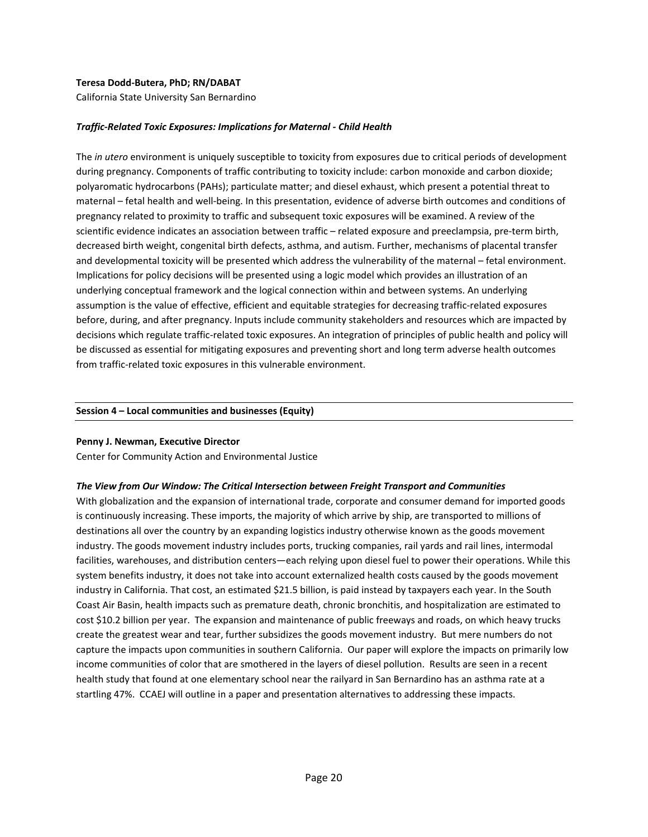#### **Teresa Dodd‐Butera, PhD; RN/DABAT**

California State University San Bernardino

#### *Traffic‐Related Toxic Exposures: Implications for Maternal ‐ Child Health*

The *in utero* environment is uniquely susceptible to toxicity from exposures due to critical periods of development during pregnancy. Components of traffic contributing to toxicity include: carbon monoxide and carbon dioxide; polyaromatic hydrocarbons (PAHs); particulate matter; and diesel exhaust, which present a potential threat to maternal – fetal health and well‐being. In this presentation, evidence of adverse birth outcomes and conditions of pregnancy related to proximity to traffic and subsequent toxic exposures will be examined. A review of the scientific evidence indicates an association between traffic – related exposure and preeclampsia, pre-term birth, decreased birth weight, congenital birth defects, asthma, and autism. Further, mechanisms of placental transfer and developmental toxicity will be presented which address the vulnerability of the maternal – fetal environment. Implications for policy decisions will be presented using a logic model which provides an illustration of an underlying conceptual framework and the logical connection within and between systems. An underlying assumption is the value of effective, efficient and equitable strategies for decreasing traffic‐related exposures before, during, and after pregnancy. Inputs include community stakeholders and resources which are impacted by decisions which regulate traffic‐related toxic exposures. An integration of principles of public health and policy will be discussed as essential for mitigating exposures and preventing short and long term adverse health outcomes from traffic-related toxic exposures in this vulnerable environment.

#### **Session 4 – Local communities and businesses (Equity)**

#### **Penny J. Newman, Executive Director**

Center for Community Action and Environmental Justice

#### *The View from Our Window: The Critical Intersection between Freight Transport and Communities*

With globalization and the expansion of international trade, corporate and consumer demand for imported goods is continuously increasing. These imports, the majority of which arrive by ship, are transported to millions of destinations all over the country by an expanding logistics industry otherwise known as the goods movement industry. The goods movement industry includes ports, trucking companies, rail yards and rail lines, intermodal facilities, warehouses, and distribution centers—each relying upon diesel fuel to power their operations. While this system benefits industry, it does not take into account externalized health costs caused by the goods movement industry in California. That cost, an estimated \$21.5 billion, is paid instead by taxpayers each year. In the South Coast Air Basin, health impacts such as premature death, chronic bronchitis, and hospitalization are estimated to cost \$10.2 billion per year. The expansion and maintenance of public freeways and roads, on which heavy trucks create the greatest wear and tear, further subsidizes the goods movement industry. But mere numbers do not capture the impacts upon communities in southern California. Our paper will explore the impacts on primarily low income communities of color that are smothered in the layers of diesel pollution. Results are seen in a recent health study that found at one elementary school near the railyard in San Bernardino has an asthma rate at a startling 47%. CCAEJ will outline in a paper and presentation alternatives to addressing these impacts.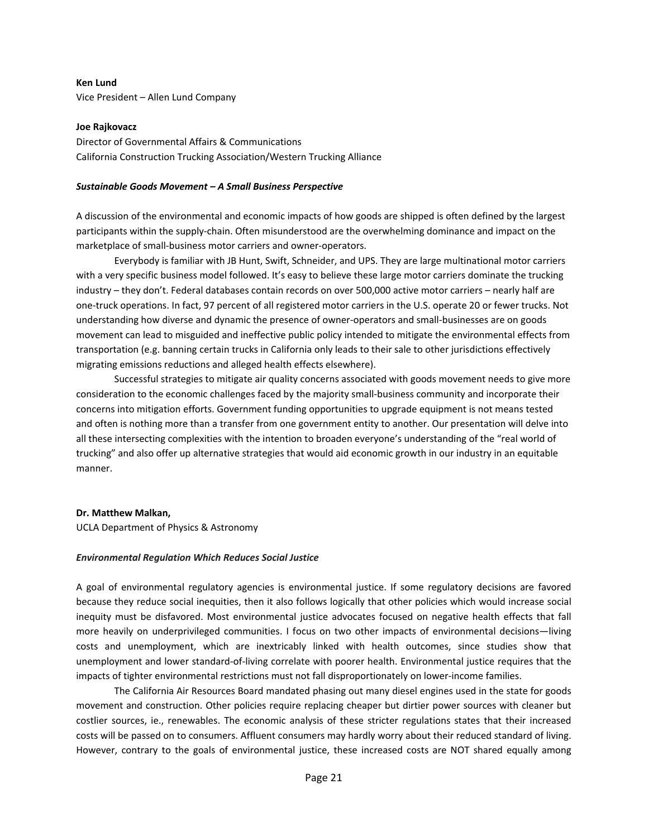**Ken Lund**  Vice President – Allen Lund Company

#### **Joe Rajkovacz**

Director of Governmental Affairs & Communications California Construction Trucking Association/Western Trucking Alliance

#### *Sustainable Goods Movement – A Small Business Perspective*

A discussion of the environmental and economic impacts of how goods are shipped is often defined by the largest participants within the supply‐chain. Often misunderstood are the overwhelming dominance and impact on the marketplace of small‐business motor carriers and owner‐operators.

Everybody is familiar with JB Hunt, Swift, Schneider, and UPS. They are large multinational motor carriers with a very specific business model followed. It's easy to believe these large motor carriers dominate the trucking industry – they don't. Federal databases contain records on over 500,000 active motor carriers – nearly half are one‐truck operations. In fact, 97 percent of all registered motor carriers in the U.S. operate 20 or fewer trucks. Not understanding how diverse and dynamic the presence of owner‐operators and small‐businesses are on goods movement can lead to misguided and ineffective public policy intended to mitigate the environmental effects from transportation (e.g. banning certain trucks in California only leads to their sale to other jurisdictions effectively migrating emissions reductions and alleged health effects elsewhere).

Successful strategies to mitigate air quality concerns associated with goods movement needs to give more consideration to the economic challenges faced by the majority small‐business community and incorporate their concerns into mitigation efforts. Government funding opportunities to upgrade equipment is not means tested and often is nothing more than a transfer from one government entity to another. Our presentation will delve into all these intersecting complexities with the intention to broaden everyone's understanding of the "real world of trucking" and also offer up alternative strategies that would aid economic growth in our industry in an equitable manner.

#### **Dr. Matthew Malkan,**

UCLA Department of Physics & Astronomy

#### *Environmental Regulation Which Reduces Social Justice*

A goal of environmental regulatory agencies is environmental justice. If some regulatory decisions are favored because they reduce social inequities, then it also follows logically that other policies which would increase social inequity must be disfavored. Most environmental justice advocates focused on negative health effects that fall more heavily on underprivileged communities. I focus on two other impacts of environmental decisions—living costs and unemployment, which are inextricably linked with health outcomes, since studies show that unemployment and lower standard‐of‐living correlate with poorer health. Environmental justice requires that the impacts of tighter environmental restrictions must not fall disproportionately on lower-income families.

The California Air Resources Board mandated phasing out many diesel engines used in the state for goods movement and construction. Other policies require replacing cheaper but dirtier power sources with cleaner but costlier sources, ie., renewables. The economic analysis of these stricter regulations states that their increased costs will be passed on to consumers. Affluent consumers may hardly worry about their reduced standard of living. However, contrary to the goals of environmental justice, these increased costs are NOT shared equally among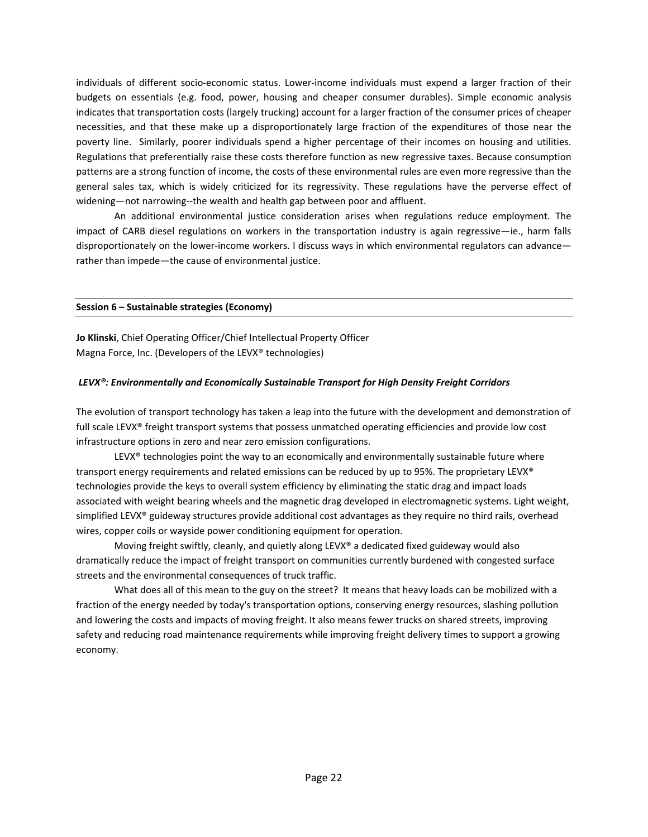individuals of different socio‐economic status. Lower‐income individuals must expend a larger fraction of their budgets on essentials (e.g. food, power, housing and cheaper consumer durables). Simple economic analysis indicates that transportation costs (largely trucking) account for a larger fraction of the consumer prices of cheaper necessities, and that these make up a disproportionately large fraction of the expenditures of those near the poverty line. Similarly, poorer individuals spend a higher percentage of their incomes on housing and utilities. Regulations that preferentially raise these costs therefore function as new regressive taxes. Because consumption patterns are a strong function of income, the costs of these environmental rules are even more regressive than the general sales tax, which is widely criticized for its regressivity. These regulations have the perverse effect of widening—not narrowing--the wealth and health gap between poor and affluent.

An additional environmental justice consideration arises when regulations reduce employment. The impact of CARB diesel regulations on workers in the transportation industry is again regressive—ie., harm falls disproportionately on the lower-income workers. I discuss ways in which environmental regulators can advance rather than impede—the cause of environmental justice.

#### **Session 6 – Sustainable strategies (Economy)**

**Jo Klinski**, Chief Operating Officer/Chief Intellectual Property Officer Magna Force, Inc. (Developers of the LEVX® technologies)

#### *LEVX®: Environmentally and Economically Sustainable Transport for High Density Freight Corridors*

The evolution of transport technology has taken a leap into the future with the development and demonstration of full scale LEVX® freight transport systems that possess unmatched operating efficiencies and provide low cost infrastructure options in zero and near zero emission configurations.

LEVX<sup>®</sup> technologies point the way to an economically and environmentally sustainable future where transport energy requirements and related emissions can be reduced by up to 95%. The proprietary LEVX® technologies provide the keys to overall system efficiency by eliminating the static drag and impact loads associated with weight bearing wheels and the magnetic drag developed in electromagnetic systems. Light weight, simplified LEVX® guideway structures provide additional cost advantages as they require no third rails, overhead wires, copper coils or wayside power conditioning equipment for operation.

Moving freight swiftly, cleanly, and quietly along LEVX® a dedicated fixed guideway would also dramatically reduce the impact of freight transport on communities currently burdened with congested surface streets and the environmental consequences of truck traffic.

What does all of this mean to the guy on the street? It means that heavy loads can be mobilized with a fraction of the energy needed by today's transportation options, conserving energy resources, slashing pollution and lowering the costs and impacts of moving freight. It also means fewer trucks on shared streets, improving safety and reducing road maintenance requirements while improving freight delivery times to support a growing economy.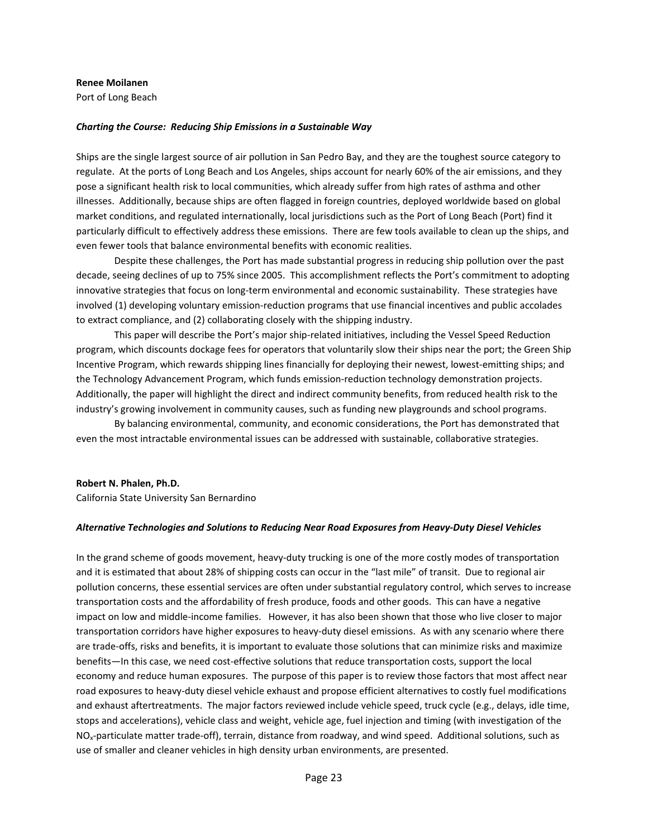#### **Renee Moilanen**

Port of Long Beach

#### *Charting the Course: Reducing Ship Emissions in a Sustainable Way*

Ships are the single largest source of air pollution in San Pedro Bay, and they are the toughest source category to regulate. At the ports of Long Beach and Los Angeles, ships account for nearly 60% of the air emissions, and they pose a significant health risk to local communities, which already suffer from high rates of asthma and other illnesses. Additionally, because ships are often flagged in foreign countries, deployed worldwide based on global market conditions, and regulated internationally, local jurisdictions such as the Port of Long Beach (Port) find it particularly difficult to effectively address these emissions. There are few tools available to clean up the ships, and even fewer tools that balance environmental benefits with economic realities.

Despite these challenges, the Port has made substantial progress in reducing ship pollution over the past decade, seeing declines of up to 75% since 2005. This accomplishment reflects the Port's commitment to adopting innovative strategies that focus on long‐term environmental and economic sustainability. These strategies have involved (1) developing voluntary emission-reduction programs that use financial incentives and public accolades to extract compliance, and (2) collaborating closely with the shipping industry.

This paper will describe the Port's major ship-related initiatives, including the Vessel Speed Reduction program, which discounts dockage fees for operators that voluntarily slow their ships near the port; the Green Ship Incentive Program, which rewards shipping lines financially for deploying their newest, lowest-emitting ships; and the Technology Advancement Program, which funds emission‐reduction technology demonstration projects. Additionally, the paper will highlight the direct and indirect community benefits, from reduced health risk to the industry's growing involvement in community causes, such as funding new playgrounds and school programs.

By balancing environmental, community, and economic considerations, the Port has demonstrated that even the most intractable environmental issues can be addressed with sustainable, collaborative strategies.

#### **Robert N. Phalen, Ph.D.**

California State University San Bernardino

#### *Alternative Technologies and Solutions to Reducing Near Road Exposures from Heavy‐Duty Diesel Vehicles*

In the grand scheme of goods movement, heavy-duty trucking is one of the more costly modes of transportation and it is estimated that about 28% of shipping costs can occur in the "last mile" of transit. Due to regional air pollution concerns, these essential services are often under substantial regulatory control, which serves to increase transportation costs and the affordability of fresh produce, foods and other goods. This can have a negative impact on low and middle‐income families. However, it has also been shown that those who live closer to major transportation corridors have higher exposures to heavy‐duty diesel emissions. As with any scenario where there are trade‐offs, risks and benefits, it is important to evaluate those solutions that can minimize risks and maximize benefits—In this case, we need cost-effective solutions that reduce transportation costs, support the local economy and reduce human exposures. The purpose of this paper is to review those factors that most affect near road exposures to heavy‐duty diesel vehicle exhaust and propose efficient alternatives to costly fuel modifications and exhaust aftertreatments. The major factors reviewed include vehicle speed, truck cycle (e.g., delays, idle time, stops and accelerations), vehicle class and weight, vehicle age, fuel injection and timing (with investigation of the NO<sub>x</sub>-particulate matter trade-off), terrain, distance from roadway, and wind speed. Additional solutions, such as use of smaller and cleaner vehicles in high density urban environments, are presented.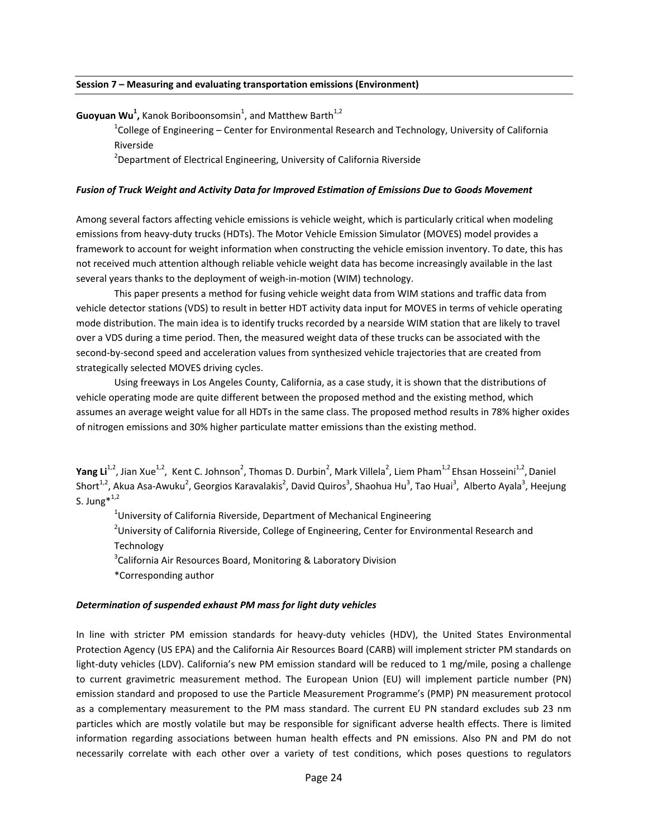#### **Session 7 – Measuring and evaluating transportation emissions (Environment)**

**Guoyuan Wu<sup>1</sup>,** Kanok Boriboonsomsin<sup>1</sup>, and Matthew Barth<sup>1,2</sup>

 $^{1}$ College of Engineering – Center for Environmental Research and Technology, University of California Riverside

<sup>2</sup>Department of Electrical Engineering, University of California Riverside

#### *Fusion of Truck Weight and Activity Data for Improved Estimation of Emissions Due to Goods Movement*

Among several factors affecting vehicle emissions is vehicle weight, which is particularly critical when modeling emissions from heavy‐duty trucks (HDTs). The Motor Vehicle Emission Simulator (MOVES) model provides a framework to account for weight information when constructing the vehicle emission inventory. To date, this has not received much attention although reliable vehicle weight data has become increasingly available in the last several years thanks to the deployment of weigh-in-motion (WIM) technology.

This paper presents a method for fusing vehicle weight data from WIM stations and traffic data from vehicle detector stations (VDS) to result in better HDT activity data input for MOVES in terms of vehicle operating mode distribution. The main idea is to identify trucks recorded by a nearside WIM station that are likely to travel over a VDS during a time period. Then, the measured weight data of these trucks can be associated with the second-by-second speed and acceleration values from synthesized vehicle trajectories that are created from strategically selected MOVES driving cycles.

Using freeways in Los Angeles County, California, as a case study, it is shown that the distributions of vehicle operating mode are quite different between the proposed method and the existing method, which assumes an average weight value for all HDTs in the same class. The proposed method results in 78% higher oxides of nitrogen emissions and 30% higher particulate matter emissions than the existing method.

**Yang Li**<sup>1,2</sup>, Jian Xue<sup>1,2</sup>, Kent C. Johnson<sup>2</sup>, Thomas D. Durbin<sup>2</sup>, Mark Villela<sup>2</sup>, Liem Pham<sup>1,2</sup> Ehsan Hosseini<sup>1,2</sup>, Daniel Short<sup>1,2</sup>, Akua Asa-Awuku<sup>2</sup>, Georgios Karavalakis<sup>2</sup>, David Quiros<sup>3</sup>, Shaohua Hu<sup>3</sup>, Tao Huai<sup>3</sup>, Alberto Ayala<sup>3</sup>, Heejung S. Jung $*^{1,2}$ 

 $^{1}$ University of California Riverside, Department of Mechanical Engineering

 $^{2}$ University of California Riverside, College of Engineering, Center for Environmental Research and Technology

<sup>3</sup>California Air Resources Board, Monitoring & Laboratory Division

\*Corresponding author

#### *Determination of suspended exhaust PM mass for light duty vehicles*

In line with stricter PM emission standards for heavy-duty vehicles (HDV), the United States Environmental Protection Agency (US EPA) and the California Air Resources Board (CARB) will implement stricter PM standards on light-duty vehicles (LDV). California's new PM emission standard will be reduced to 1 mg/mile, posing a challenge to current gravimetric measurement method. The European Union (EU) will implement particle number (PN) emission standard and proposed to use the Particle Measurement Programme's (PMP) PN measurement protocol as a complementary measurement to the PM mass standard. The current EU PN standard excludes sub 23 nm particles which are mostly volatile but may be responsible for significant adverse health effects. There is limited information regarding associations between human health effects and PN emissions. Also PN and PM do not necessarily correlate with each other over a variety of test conditions, which poses questions to regulators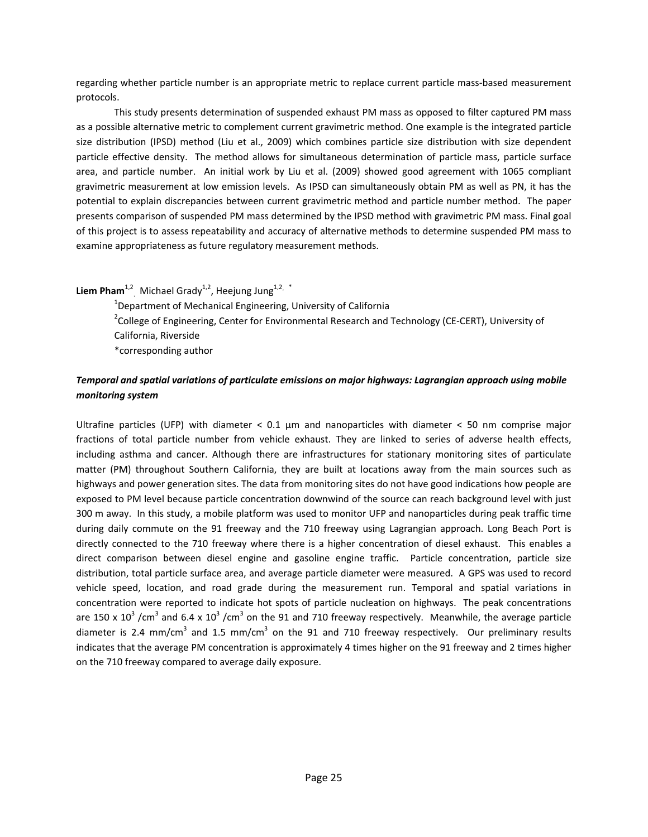regarding whether particle number is an appropriate metric to replace current particle mass‐based measurement protocols.

This study presents determination of suspended exhaust PM mass as opposed to filter captured PM mass as a possible alternative metric to complement current gravimetric method. One example is the integrated particle size distribution (IPSD) method (Liu et al., 2009) which combines particle size distribution with size dependent particle effective density. The method allows for simultaneous determination of particle mass, particle surface area, and particle number. An initial work by Liu et al. (2009) showed good agreement with 1065 compliant gravimetric measurement at low emission levels. As IPSD can simultaneously obtain PM as well as PN, it has the potential to explain discrepancies between current gravimetric method and particle number method. The paper presents comparison of suspended PM mass determined by the IPSD method with gravimetric PM mass. Final goal of this project is to assess repeatability and accuracy of alternative methods to determine suspended PM mass to examine appropriateness as future regulatory measurement methods.

**Liem Pham**<sup>1,2</sup>, Michael Grady<sup>1,2</sup>, Heejung Jung<sup>1,2, \*</sup>

<sup>1</sup>Department of Mechanical Engineering, University of California <sup>2</sup>College of Engineering, Center for Environmental Research and Technology (CE-CERT), University of California, Riverside \*corresponding author

## *Temporal and spatial variations of particulate emissions on major highways: Lagrangian approach using mobile monitoring system*

Ultrafine particles (UFP) with diameter  $< 0.1 \mu m$  and nanoparticles with diameter  $< 50 \mu m$  comprise major fractions of total particle number from vehicle exhaust. They are linked to series of adverse health effects, including asthma and cancer. Although there are infrastructures for stationary monitoring sites of particulate matter (PM) throughout Southern California, they are built at locations away from the main sources such as highways and power generation sites. The data from monitoring sites do not have good indications how people are exposed to PM level because particle concentration downwind of the source can reach background level with just 300 m away. In this study, a mobile platform was used to monitor UFP and nanoparticles during peak traffic time during daily commute on the 91 freeway and the 710 freeway using Lagrangian approach. Long Beach Port is directly connected to the 710 freeway where there is a higher concentration of diesel exhaust. This enables a direct comparison between diesel engine and gasoline engine traffic. Particle concentration, particle size distribution, total particle surface area, and average particle diameter were measured. A GPS was used to record vehicle speed, location, and road grade during the measurement run. Temporal and spatial variations in concentration were reported to indicate hot spots of particle nucleation on highways. The peak concentrations are 150 x  $10^3$  /cm<sup>3</sup> and 6.4 x  $10^3$  /cm<sup>3</sup> on the 91 and 710 freeway respectively. Meanwhile, the average particle diameter is 2.4 mm/cm<sup>3</sup> and 1.5 mm/cm<sup>3</sup> on the 91 and 710 freeway respectively. Our preliminary results indicates that the average PM concentration is approximately 4 times higher on the 91 freeway and 2 times higher on the 710 freeway compared to average daily exposure.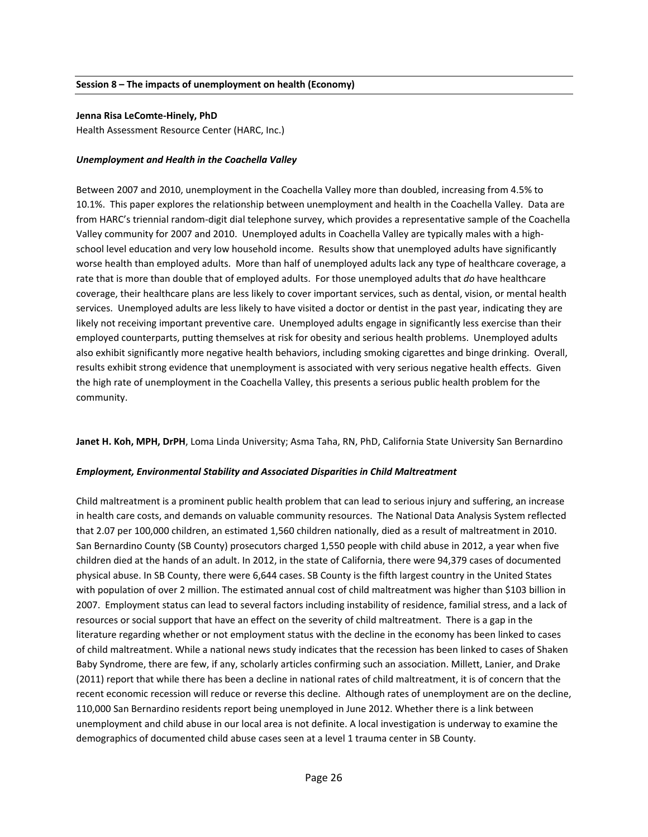#### **Jenna Risa LeComte‐Hinely, PhD**

Health Assessment Resource Center (HARC, Inc.)

#### *Unemployment and Health in the Coachella Valley*

Between 2007 and 2010, unemployment in the Coachella Valley more than doubled, increasing from 4.5% to 10.1%. This paper explores the relationship between unemployment and health in the Coachella Valley. Data are from HARC's triennial random‐digit dial telephone survey, which provides a representative sample of the Coachella Valley community for 2007 and 2010. Unemployed adults in Coachella Valley are typically males with a high‐ school level education and very low household income. Results show that unemployed adults have significantly worse health than employed adults. More than half of unemployed adults lack any type of healthcare coverage, a rate that is more than double that of employed adults. For those unemployed adults that *do* have healthcare coverage, their healthcare plans are less likely to cover important services, such as dental, vision, or mental health services. Unemployed adults are less likely to have visited a doctor or dentist in the past year, indicating they are likely not receiving important preventive care. Unemployed adults engage in significantly less exercise than their employed counterparts, putting themselves at risk for obesity and serious health problems. Unemployed adults also exhibit significantly more negative health behaviors, including smoking cigarettes and binge drinking. Overall, results exhibit strong evidence that unemployment is associated with very serious negative health effects. Given the high rate of unemployment in the Coachella Valley, this presents a serious public health problem for the community.

**Janet H. Koh, MPH, DrPH**, Loma Linda University; Asma Taha, RN, PhD, California State University San Bernardino

#### *Employment, Environmental Stability and Associated Disparities in Child Maltreatment*

Child maltreatment is a prominent public health problem that can lead to serious injury and suffering, an increase in health care costs, and demands on valuable community resources. The National Data Analysis System reflected that 2.07 per 100,000 children, an estimated 1,560 children nationally, died as a result of maltreatment in 2010. San Bernardino County (SB County) prosecutors charged 1,550 people with child abuse in 2012, a year when five children died at the hands of an adult. In 2012, in the state of California, there were 94,379 cases of documented physical abuse. In SB County, there were 6,644 cases. SB County is the fifth largest country in the United States with population of over 2 million. The estimated annual cost of child maltreatment was higher than \$103 billion in 2007. Employment status can lead to several factors including instability of residence, familial stress, and a lack of resources or social support that have an effect on the severity of child maltreatment. There is a gap in the literature regarding whether or not employment status with the decline in the economy has been linked to cases of child maltreatment. While a national news study indicates that the recession has been linked to cases of Shaken Baby Syndrome, there are few, if any, scholarly articles confirming such an association. Millett, Lanier, and Drake (2011) report that while there has been a decline in national rates of child maltreatment, it is of concern that the recent economic recession will reduce or reverse this decline. Although rates of unemployment are on the decline, 110,000 San Bernardino residents report being unemployed in June 2012. Whether there is a link between unemployment and child abuse in our local area is not definite. A local investigation is underway to examine the demographics of documented child abuse cases seen at a level 1 trauma center in SB County.